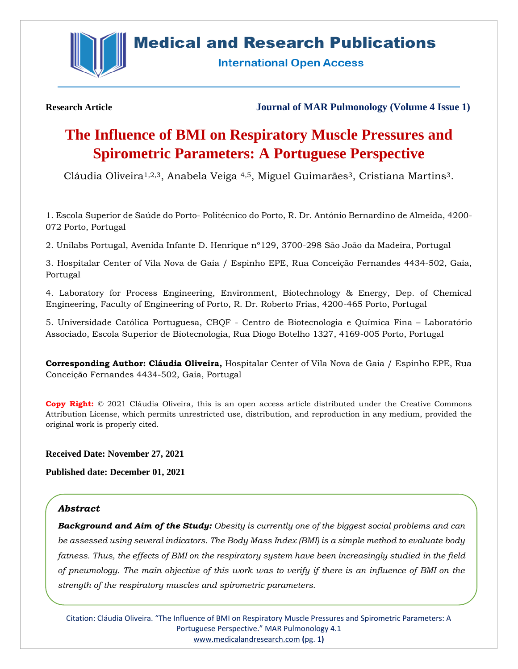

## **Medical and Research Publications**

**International Open Access** 

**Research Article Journal of MAR Pulmonology (Volume 4 Issue 1)**

# **The Influence of BMI on Respiratory Muscle Pressures and Spirometric Parameters: A Portuguese Perspective**

Cláudia Oliveira<sup>1,2,3</sup>, Anabela Veiga <sup>4,5</sup>, Miguel Guimarães<sup>3</sup>, Cristiana Martins<sup>3</sup>.

1. Escola Superior de Saúde do Porto- Politécnico do Porto, R. Dr. António Bernardino de Almeida, 4200- 072 Porto, Portugal

2. Unilabs Portugal, Avenida Infante D. Henrique nº129, 3700-298 São João da Madeira, Portugal

3. Hospitalar Center of Vila Nova de Gaia / Espinho EPE, Rua Conceição Fernandes 4434-502, Gaia, Portugal

4. Laboratory for Process Engineering, Environment, Biotechnology & Energy, Dep. of Chemical Engineering, Faculty of Engineering of Porto, R. Dr. Roberto Frias, 4200-465 Porto, Portugal

5. Universidade Católica Portuguesa, CBQF - Centro de Biotecnologia e Química Fina – Laboratório Associado, Escola Superior de Biotecnologia, Rua Diogo Botelho 1327, 4169-005 Porto, Portugal

**Corresponding Author: Cláudia Oliveira,** Hospitalar Center of Vila Nova de Gaia / Espinho EPE, Rua Conceição Fernandes 4434-502, Gaia, Portugal

**Copy Right:** © 2021 Cláudia Oliveira, this is an open access article distributed under the Creative Commons Attribution License, which permits unrestricted use, distribution, and reproduction in any medium, provided the original work is properly cited.

**Received Date: November 27, 2021**

**Published date: December 01, 2021**

## *Abstract*

*Background and Aim of the Study: Obesity is currently one of the biggest social problems and can be assessed using several indicators. The Body Mass Index (BMI) is a simple method to evaluate body fatness. Thus, the effects of BMI on the respiratory system have been increasingly studied in the field of pneumology. The main objective of this work was to verify if there is an influence of BMI on the strength of the respiratory muscles and spirometric parameters.*

Citation: Cláudia Oliveira. "The Influence of BMI on Respiratory Muscle Pressures and Spirometric Parameters: A Portuguese Perspective." MAR Pulmonology 4.1 [www.medicalandresearch.com](http://www.medicalandresearch.com/) **(**pg. 1**)**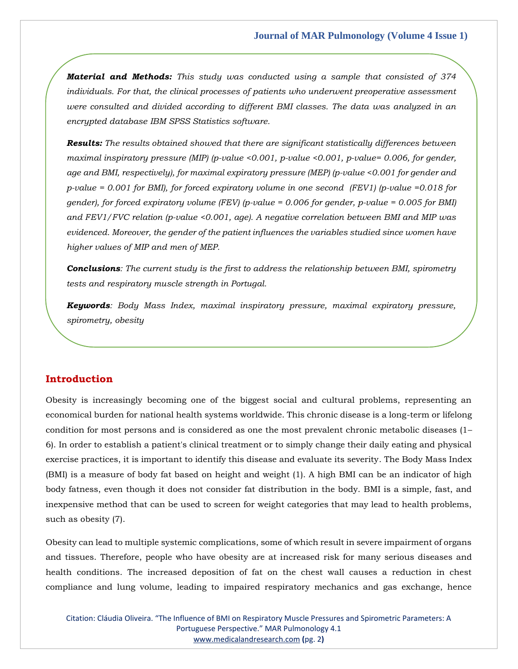*Material and Methods: This study was conducted using a sample that consisted of 374 individuals. For that, the clinical processes of patients who underwent preoperative assessment were consulted and divided according to different BMI classes. The data was analyzed in an encrypted database IBM SPSS Statistics software.* 

*Results: The results obtained showed that there are significant statistically differences between maximal inspiratory pressure (MIP) (p-value <0.001, p-value <0.001, p-value= 0.006, for gender, age and BMI, respectively), for maximal expiratory pressure (MEP) (p-value <0.001 for gender and p-value = 0.001 for BMI), for forced expiratory volume in one second (FEV1) (p-value =0.018 for gender), for forced expiratory volume (FEV) (p-value = 0.006 for gender, p-value = 0.005 for BMI) and FEV1/FVC relation (p-value <0.001, age). A negative correlation between BMI and MIP was evidenced. Moreover, the gender of the patient influences the variables studied since women have higher values of MIP and men of MEP.* 

*Conclusions: The current study is the first to address the relationship between BMI, spirometry tests and respiratory muscle strength in Portugal.*

*Keywords: Body Mass Index, maximal inspiratory pressure, maximal expiratory pressure, spirometry, obesity*

## **Introduction**

Obesity is increasingly becoming one of the biggest social and cultural problems, representing an economical burden for national health systems worldwide. This chronic disease is a long-term or lifelong condition for most persons and is considered as one the most prevalent chronic metabolic diseases (1– 6). In order to establish a patient's clinical treatment or to simply change their daily eating and physical exercise practices, it is important to identify this disease and evaluate its severity. The Body Mass Index (BMI) is a measure of body fat based on height and weight (1). A high BMI can be an indicator of high body fatness, even though it does not consider fat distribution in the body. BMI is a simple, fast, and inexpensive method that can be used to screen for weight categories that may lead to health problems, such as obesity (7).

Obesity can lead to multiple systemic complications, some of which result in severe impairment of organs and tissues. Therefore, people who have obesity are at increased risk for many serious diseases and health conditions. The increased deposition of fat on the chest wall causes a reduction in chest compliance and lung volume, leading to impaired respiratory mechanics and gas exchange, hence

Citation: Cláudia Oliveira. "The Influence of BMI on Respiratory Muscle Pressures and Spirometric Parameters: A Portuguese Perspective." MAR Pulmonology 4.1 [www.medicalandresearch.com](http://www.medicalandresearch.com/) **(**pg. 2**)**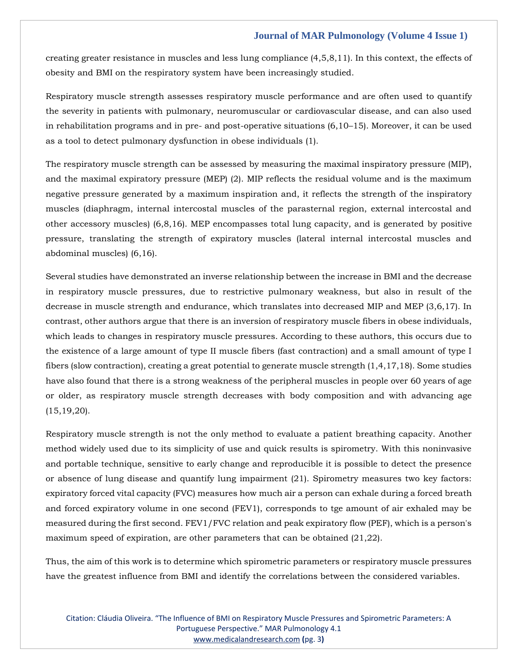creating greater resistance in muscles and less lung compliance (4,5,8,11). In this context, the effects of obesity and BMI on the respiratory system have been increasingly studied.

Respiratory muscle strength assesses respiratory muscle performance and are often used to quantify the severity in patients with pulmonary, neuromuscular or cardiovascular disease, and can also used in rehabilitation programs and in pre- and post-operative situations (6,10–15). Moreover, it can be used as a tool to detect pulmonary dysfunction in obese individuals (1).

The respiratory muscle strength can be assessed by measuring the maximal inspiratory pressure (MIP), and the maximal expiratory pressure (MEP) (2). MIP reflects the residual volume and is the maximum negative pressure generated by a maximum inspiration and, it reflects the strength of the inspiratory muscles (diaphragm, internal intercostal muscles of the parasternal region, external intercostal and other accessory muscles) (6,8,16). MEP encompasses total lung capacity, and is generated by positive pressure, translating the strength of expiratory muscles (lateral internal intercostal muscles and abdominal muscles) (6,16).

Several studies have demonstrated an inverse relationship between the increase in BMI and the decrease in respiratory muscle pressures, due to restrictive pulmonary weakness, but also in result of the decrease in muscle strength and endurance, which translates into decreased MIP and MEP (3,6,17). In contrast, other authors argue that there is an inversion of respiratory muscle fibers in obese individuals, which leads to changes in respiratory muscle pressures. According to these authors, this occurs due to the existence of a large amount of type II muscle fibers (fast contraction) and a small amount of type I fibers (slow contraction), creating a great potential to generate muscle strength (1,4,17,18). Some studies have also found that there is a strong weakness of the peripheral muscles in people over 60 years of age or older, as respiratory muscle strength decreases with body composition and with advancing age  $(15, 19, 20)$ .

Respiratory muscle strength is not the only method to evaluate a patient breathing capacity. Another method widely used due to its simplicity of use and quick results is spirometry. With this noninvasive and portable technique, sensitive to early change and reproducible it is possible to detect the presence or absence of lung disease and quantify lung impairment (21). Spirometry measures two key factors: expiratory forced vital capacity (FVC) measures how much air a person can exhale during a forced breath and forced expiratory volume in one second (FEV1), corresponds to tge amount of air exhaled may be measured during the first second. FEV1/FVC relation and peak expiratory flow (PEF), which is a person's maximum speed of expiration, are other parameters that can be obtained (21,22).

Thus, the aim of this work is to determine which spirometric parameters or respiratory muscle pressures have the greatest influence from BMI and identify the correlations between the considered variables.

Citation: Cláudia Oliveira. "The Influence of BMI on Respiratory Muscle Pressures and Spirometric Parameters: A Portuguese Perspective." MAR Pulmonology 4.1 [www.medicalandresearch.com](http://www.medicalandresearch.com/) **(**pg. 3**)**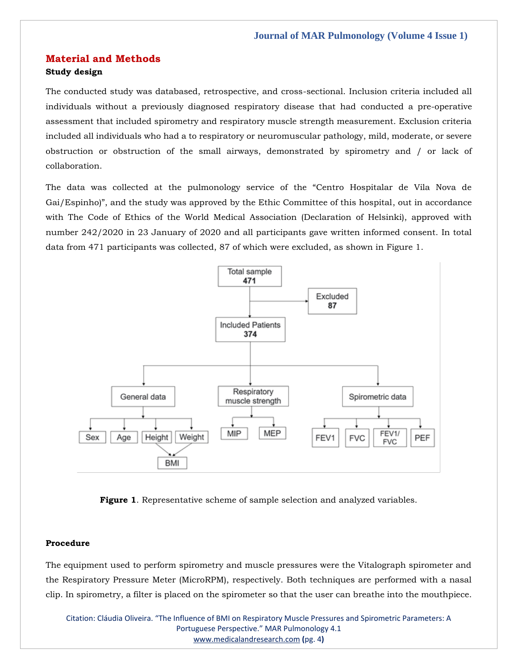## **Material and Methods Study design**

The conducted study was databased, retrospective, and cross-sectional. Inclusion criteria included all individuals without a previously diagnosed respiratory disease that had conducted a pre-operative assessment that included spirometry and respiratory muscle strength measurement. Exclusion criteria included all individuals who had a to respiratory or neuromuscular pathology, mild, moderate, or severe obstruction or obstruction of the small airways, demonstrated by spirometry and / or lack of collaboration.

The data was collected at the pulmonology service of the "Centro Hospitalar de Vila Nova de Gai/Espinho)", and the study was approved by the Ethic Committee of this hospital, out in accordance with The Code of Ethics of the World Medical Association (Declaration of Helsinki), approved with number 242/2020 in 23 January of 2020 and all participants gave written informed consent. In total data from 471 participants was collected, 87 of which were excluded, as shown in Figure 1.



**Figure 1**. Representative scheme of sample selection and analyzed variables.

#### **Procedure**

The equipment used to perform spirometry and muscle pressures were the Vitalograph spirometer and the Respiratory Pressure Meter (MicroRPM), respectively. Both techniques are performed with a nasal clip. In spirometry, a filter is placed on the spirometer so that the user can breathe into the mouthpiece.

Citation: Cláudia Oliveira. "The Influence of BMI on Respiratory Muscle Pressures and Spirometric Parameters: A Portuguese Perspective." MAR Pulmonology 4.1 [www.medicalandresearch.com](http://www.medicalandresearch.com/) **(**pg. 4**)**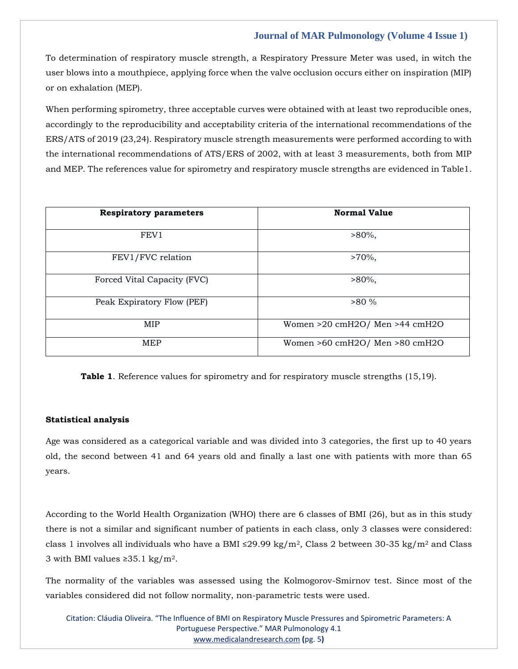To determination of respiratory muscle strength, a Respiratory Pressure Meter was used, in witch the user blows into a mouthpiece, applying force when the valve occlusion occurs either on inspiration (MIP) or on exhalation (MEP).

When performing spirometry, three acceptable curves were obtained with at least two reproducible ones, accordingly to the reproducibility and acceptability criteria of the international recommendations of the ERS/ATS of 2019 (23,24). Respiratory muscle strength measurements were performed according to with the international recommendations of ATS/ERS of 2002, with at least 3 measurements, both from MIP and MEP. The references value for spirometry and respiratory muscle strengths are evidenced in Table1.

| <b>Respiratory parameters</b> | <b>Normal Value</b>                |
|-------------------------------|------------------------------------|
| FEV1                          | $>80\%$ ,                          |
| FEV1/FVC relation             | $>70\%$ ,                          |
| Forced Vital Capacity (FVC)   | $>80\%$ ,                          |
| Peak Expiratory Flow (PEF)    | $>80\%$                            |
| MIP                           | Women $>20$ cmH2O/ Men $>44$ cmH2O |
| <b>MEP</b>                    | Women >60 cmH2O/ Men >80 cmH2O     |

**Table 1**. Reference values for spirometry and for respiratory muscle strengths (15,19).

## **Statistical analysis**

Age was considered as a categorical variable and was divided into 3 categories, the first up to 40 years old, the second between 41 and 64 years old and finally a last one with patients with more than 65 years.

According to the World Health Organization (WHO) there are 6 classes of BMI (26), but as in this study there is not a similar and significant number of patients in each class, only 3 classes were considered: class 1 involves all individuals who have a BMI ≤29.99 kg/m<sup>2</sup>, Class 2 between 30-35 kg/m<sup>2</sup> and Class 3 with BMI values ≥35.1 kg/m<sup>2</sup>.

The normality of the variables was assessed using the Kolmogorov-Smirnov test. Since most of the variables considered did not follow normality, non-parametric tests were used.

Citation: Cláudia Oliveira. "The Influence of BMI on Respiratory Muscle Pressures and Spirometric Parameters: A Portuguese Perspective." MAR Pulmonology 4.1 [www.medicalandresearch.com](http://www.medicalandresearch.com/) **(**pg. 5**)**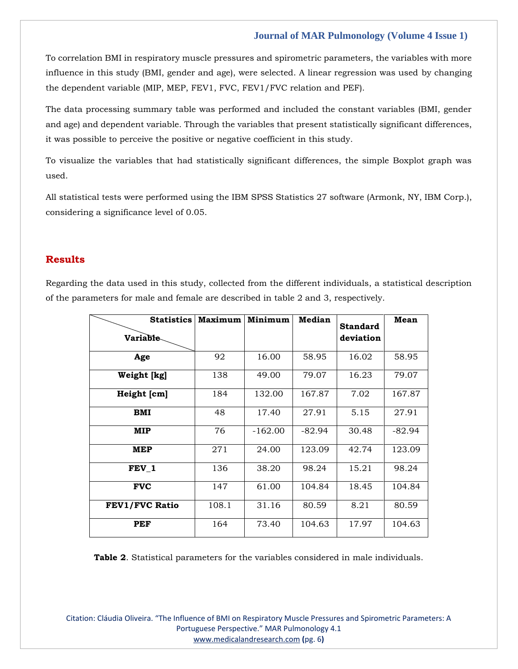To correlation BMI in respiratory muscle pressures and spirometric parameters, the variables with more influence in this study (BMI, gender and age), were selected. A linear regression was used by changing the dependent variable (MIP, MEP, FEV1, FVC, FEV1/FVC relation and PEF).

The data processing summary table was performed and included the constant variables (BMI, gender and age) and dependent variable. Through the variables that present statistically significant differences, it was possible to perceive the positive or negative coefficient in this study.

To visualize the variables that had statistically significant differences, the simple Boxplot graph was used.

All statistical tests were performed using the IBM SPSS Statistics 27 software (Armonk, NY, IBM Corp.), considering a significance level of 0.05.

## **Results**

Regarding the data used in this study, collected from the different individuals, a statistical description of the parameters for male and female are described in table 2 and 3, respectively.

| <b>Statistics</b><br><b>Variable</b> | <b>Maximum</b> | Minimum | Median   | <b>Standard</b><br>deviation | Mean     |
|--------------------------------------|----------------|---------|----------|------------------------------|----------|
| Age                                  | 92             | 16.00   | 58.95    | 16.02                        | 58.95    |
| Weight [kg]                          | 138            | 49.00   | 79.07    | 16.23                        | 79.07    |
| Height [cm]                          | 184            | 132.00  | 167.87   | 7.02                         | 167.87   |
| BMI                                  | 48             | 17.40   | 27.91    | 5.15                         | 27.91    |
| MIP                                  | 76             | -162.00 | $-82.94$ | 30.48                        | $-82.94$ |
| MEP                                  | 271            | 24.00   | 123.09   | 42.74                        | 123.09   |
| FEV 1                                | 136            | 38.20   | 98.24    | 15.21                        | 98.24    |
| <b>FVC</b>                           | 147            | 61.00   | 104.84   | 18.45                        | 104.84   |
| <b>FEV1/FVC Ratio</b>                | 108.1          | 31.16   | 80.59    | 8.21                         | 80.59    |
| <b>PEF</b>                           | 164            | 73.40   | 104.63   | 17.97                        | 104.63   |

**Table 2**. Statistical parameters for the variables considered in male individuals.

Citation: Cláudia Oliveira. "The Influence of BMI on Respiratory Muscle Pressures and Spirometric Parameters: A Portuguese Perspective." MAR Pulmonology 4.1 [www.medicalandresearch.com](http://www.medicalandresearch.com/) **(**pg. 6**)**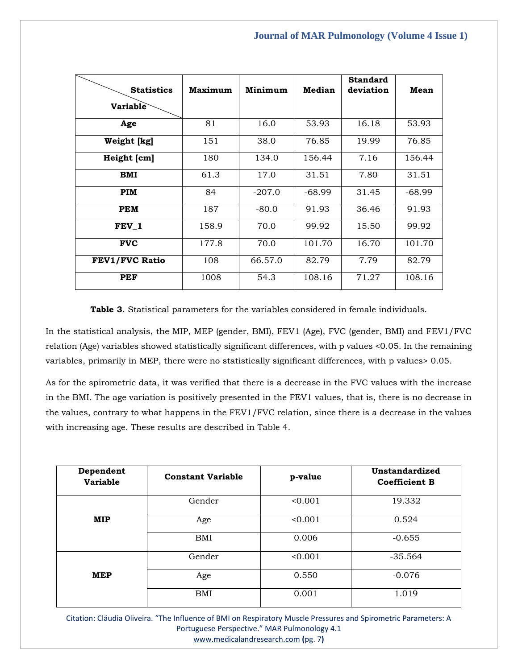| <b>Statistics</b>     | Maximum | Minimum  | Median   | <b>Standard</b><br>deviation | Mean     |
|-----------------------|---------|----------|----------|------------------------------|----------|
| Variable              |         |          |          |                              |          |
| Age                   | 81      | 16.0     | 53.93    | 16.18                        | 53.93    |
| Weight [kg]           | 151     | 38.0     | 76.85    | 19.99                        | 76.85    |
| Height [cm]           | 180     | 134.0    | 156.44   | 7.16                         | 156.44   |
| <b>BMI</b>            | 61.3    | 17.0     | 31.51    | 7.80                         | 31.51    |
| PIM                   | 84      | $-207.0$ | $-68.99$ | 31.45                        | $-68.99$ |
| <b>PEM</b>            | 187     | $-80.0$  | 91.93    | 36.46                        | 91.93    |
| FEV 1                 | 158.9   | 70.0     | 99.92    | 15.50                        | 99.92    |
| <b>FVC</b>            | 177.8   | 70.0     | 101.70   | 16.70                        | 101.70   |
| <b>FEV1/FVC Ratio</b> | 108     | 66.57.0  | 82.79    | 7.79                         | 82.79    |
| <b>PEF</b>            | 1008    | 54.3     | 108.16   | 71.27                        | 108.16   |

**Table 3**. Statistical parameters for the variables considered in female individuals.

In the statistical analysis, the MIP, MEP (gender, BMI), FEV1 (Age), FVC (gender, BMI) and FEV1/FVC relation (Age) variables showed statistically significant differences, with p values <0.05. In the remaining variables, primarily in MEP, there were no statistically significant differences, with p values> 0.05.

As for the spirometric data, it was verified that there is a decrease in the FVC values with the increase in the BMI. The age variation is positively presented in the FEV1 values, that is, there is no decrease in the values, contrary to what happens in the FEV1/FVC relation, since there is a decrease in the values with increasing age. These results are described in Table 4.

| Dependent<br><b>Variable</b> | <b>Constant Variable</b> | p-value | Unstandardized<br><b>Coefficient B</b> |
|------------------------------|--------------------------|---------|----------------------------------------|
|                              | Gender                   | < 0.001 | 19.332                                 |
| <b>MIP</b>                   | Age                      | < 0.001 | 0.524                                  |
|                              | BMI                      | 0.006   | $-0.655$                               |
|                              | Gender                   | < 0.001 | $-35.564$                              |
| <b>MEP</b>                   | Age                      | 0.550   | $-0.076$                               |
|                              | BMI                      | 0.001   | 1.019                                  |

Citation: Cláudia Oliveira. "The Influence of BMI on Respiratory Muscle Pressures and Spirometric Parameters: A Portuguese Perspective." MAR Pulmonology 4.1 [www.medicalandresearch.com](http://www.medicalandresearch.com/) **(**pg. 7**)**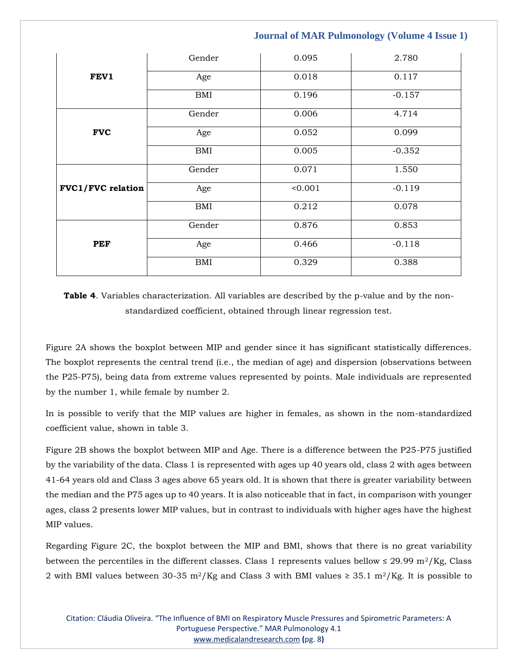|                          | Gender     | 0.095   | 2.780    |
|--------------------------|------------|---------|----------|
| FEV1                     | Age        | 0.018   | 0.117    |
|                          | <b>BMI</b> | 0.196   | $-0.157$ |
|                          | Gender     | 0.006   | 4.714    |
| <b>FVC</b>               | Age        | 0.052   | 0.099    |
|                          | <b>BMI</b> | 0.005   | $-0.352$ |
|                          | Gender     | 0.071   | 1.550    |
| <b>FVC1/FVC</b> relation | Age        | < 0.001 | $-0.119$ |
|                          | <b>BMI</b> | 0.212   | 0.078    |
|                          | Gender     | 0.876   | 0.853    |
| <b>PEF</b>               | Age        | 0.466   | $-0.118$ |
|                          | <b>BMI</b> | 0.329   | 0.388    |

**Table 4**. Variables characterization. All variables are described by the p-value and by the nonstandardized coefficient, obtained through linear regression test.

Figure 2A shows the boxplot between MIP and gender since it has significant statistically differences. The boxplot represents the central trend (i.e., the median of age) and dispersion (observations between the P25-P75), being data from extreme values represented by points. Male individuals are represented by the number 1, while female by number 2.

In is possible to verify that the MIP values are higher in females, as shown in the nom-standardized coefficient value, shown in table 3.

Figure 2B shows the boxplot between MIP and Age. There is a difference between the P25-P75 justified by the variability of the data. Class 1 is represented with ages up 40 years old, class 2 with ages between 41-64 years old and Class 3 ages above 65 years old. It is shown that there is greater variability between the median and the P75 ages up to 40 years. It is also noticeable that in fact, in comparison with younger ages, class 2 presents lower MIP values, but in contrast to individuals with higher ages have the highest MIP values.

Regarding Figure 2C, the boxplot between the MIP and BMI, shows that there is no great variability between the percentiles in the different classes. Class 1 represents values bellow  $\leq 29.99 \text{ m}^2/\text{Kg}$ , Class 2 with BMI values between 30-35 m<sup>2</sup>/Kg and Class 3 with BMI values ≥ 35.1 m<sup>2</sup>/Kg. It is possible to

Citation: Cláudia Oliveira. "The Influence of BMI on Respiratory Muscle Pressures and Spirometric Parameters: A Portuguese Perspective." MAR Pulmonology 4.1 [www.medicalandresearch.com](http://www.medicalandresearch.com/) **(**pg. 8**)**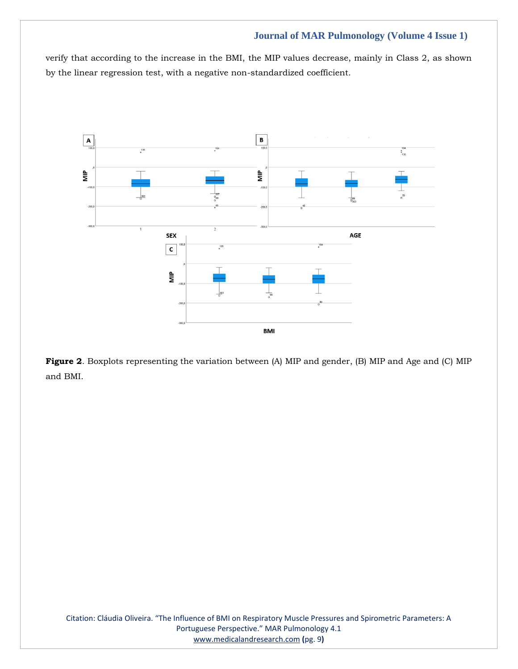verify that according to the increase in the BMI, the MIP values decrease, mainly in Class 2, as shown by the linear regression test, with a negative non-standardized coefficient.



**Figure 2**. Boxplots representing the variation between (A) MIP and gender, (B) MIP and Age and (C) MIP and BMI.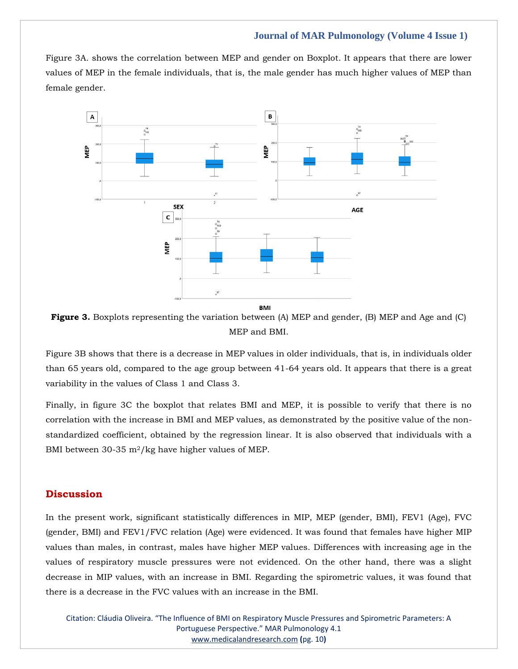Figure 3A. shows the correlation between MEP and gender on Boxplot. It appears that there are lower values of MEP in the female individuals, that is, the male gender has much higher values of MEP than female gender.



**Figure 3.** Boxplots representing the variation between (A) MEP and gender, (B) MEP and Age and (C) MEP and BMI.

Figure 3B shows that there is a decrease in MEP values in older individuals, that is, in individuals older than 65 years old, compared to the age group between 41-64 years old. It appears that there is a great variability in the values of Class 1 and Class 3.

Finally, in figure 3C the boxplot that relates BMI and MEP, it is possible to verify that there is no correlation with the increase in BMI and MEP values, as demonstrated by the positive value of the nonstandardized coefficient, obtained by the regression linear. It is also observed that individuals with a BMI between 30-35 m2/kg have higher values of MEP.

## **Discussion**

In the present work, significant statistically differences in MIP, MEP (gender, BMI), FEV1 (Age), FVC (gender, BMI) and FEV1/FVC relation (Age) were evidenced. It was found that females have higher MIP values than males, in contrast, males have higher MEP values. Differences with increasing age in the values of respiratory muscle pressures were not evidenced. On the other hand, there was a slight decrease in MIP values, with an increase in BMI. Regarding the spirometric values, it was found that there is a decrease in the FVC values with an increase in the BMI.

Citation: Cláudia Oliveira. "The Influence of BMI on Respiratory Muscle Pressures and Spirometric Parameters: A Portuguese Perspective." MAR Pulmonology 4.1 [www.medicalandresearch.com](http://www.medicalandresearch.com/) **(**pg. 10**)**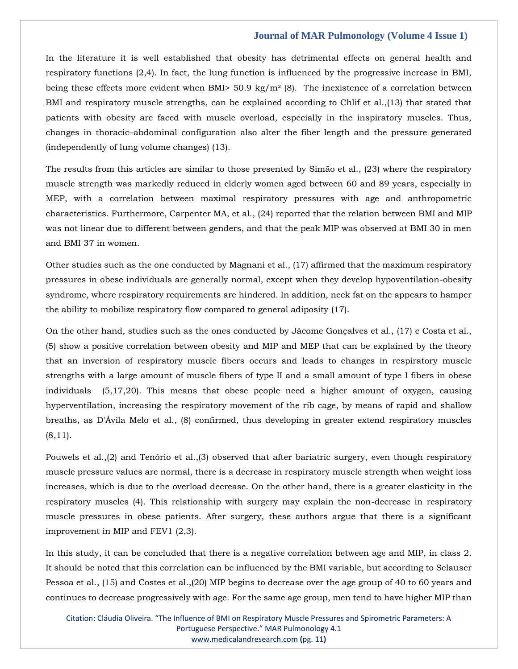In the literature it is well established that obesity has detrimental effects on general health and respiratory functions (2,4). In fact, the lung function is influenced by the progressive increase in BMI, being these effects more evident when BMI> 50.9 kg/m<sup>2</sup> (8). The inexistence of a correlation between BMI and respiratory muscle strengths, can be explained according to Chlif et al.,(13) that stated that patients with obesity are faced with muscle overload, especially in the inspiratory muscles. Thus, changes in thoracic–abdominal configuration also alter the fiber length and the pressure generated (independently of lung volume changes) (13).

The results from this articles are similar to those presented by Simão et al., (23) where the respiratory muscle strength was markedly reduced in elderly women aged between 60 and 89 years, especially in MEP, with a correlation between maximal respiratory pressures with age and anthropometric characteristics. Furthermore, Carpenter MA, et al., (24) reported that the relation between BMI and MIP was not linear due to different between genders, and that the peak MIP was observed at BMI 30 in men and BMI 37 in women.

Other studies such as the one conducted by Magnani et al., (17) affirmed that the maximum respiratory pressures in obese individuals are generally normal, except when they develop hypoventilation-obesity syndrome, where respiratory requirements are hindered. In addition, neck fat on the appears to hamper the ability to mobilize respiratory flow compared to general adiposity (17).

On the other hand, studies such as the ones conducted by Jácome Gonçalves et al., (17) e Costa et al., (5) show a positive correlation between obesity and MIP and MEP that can be explained by the theory that an inversion of respiratory muscle fibers occurs and leads to changes in respiratory muscle strengths with a large amount of muscle fibers of type II and a small amount of type I fibers in obese individuals (5,17,20). This means that obese people need a higher amount of oxygen, causing hyperventilation, increasing the respiratory movement of the rib cage, by means of rapid and shallow breaths, as D'Ávila Melo et al., (8) confirmed, thus developing in greater extend respiratory muscles  $(8,11)$ .

Pouwels et al.,(2) and Tenório et al.,(3) observed that after bariatric surgery, even though respiratory muscle pressure values are normal, there is a decrease in respiratory muscle strength when weight loss increases, which is due to the overload decrease. On the other hand, there is a greater elasticity in the respiratory muscles (4). This relationship with surgery may explain the non-decrease in respiratory muscle pressures in obese patients. After surgery, these authors argue that there is a significant improvement in MIP and FEV1 (2,3).

In this study, it can be concluded that there is a negative correlation between age and MIP, in class 2. It should be noted that this correlation can be influenced by the BMI variable, but according to Sclauser Pessoa et al., (15) and Costes et al.,(20) MIP begins to decrease over the age group of 40 to 60 years and continues to decrease progressively with age. For the same age group, men tend to have higher MIP than

Citation: Cláudia Oliveira. "The Influence of BMI on Respiratory Muscle Pressures and Spirometric Parameters: A Portuguese Perspective." MAR Pulmonology 4.1 [www.medicalandresearch.com](http://www.medicalandresearch.com/) **(**pg. 11**)**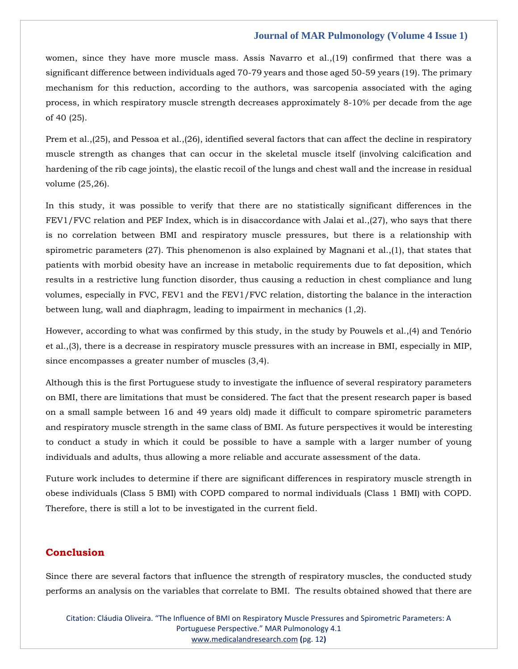women, since they have more muscle mass. Assis Navarro et al.,(19) confirmed that there was a significant difference between individuals aged 70-79 years and those aged 50-59 years (19). The primary mechanism for this reduction, according to the authors, was sarcopenia associated with the aging process, in which respiratory muscle strength decreases approximately 8-10% per decade from the age of 40 (25).

Prem et al.,(25), and Pessoa et al.,(26), identified several factors that can affect the decline in respiratory muscle strength as changes that can occur in the skeletal muscle itself (involving calcification and hardening of the rib cage joints), the elastic recoil of the lungs and chest wall and the increase in residual volume (25,26).

In this study, it was possible to verify that there are no statistically significant differences in the FEV1/FVC relation and PEF Index, which is in disaccordance with Jalai et al.,(27), who says that there is no correlation between BMI and respiratory muscle pressures, but there is a relationship with spirometric parameters (27). This phenomenon is also explained by Magnani et al.,(1), that states that patients with morbid obesity have an increase in metabolic requirements due to fat deposition, which results in a restrictive lung function disorder, thus causing a reduction in chest compliance and lung volumes, especially in FVC, FEV1 and the FEV1/FVC relation, distorting the balance in the interaction between lung, wall and diaphragm, leading to impairment in mechanics (1,2).

However, according to what was confirmed by this study, in the study by Pouwels et al.,(4) and Tenório et al.,(3), there is a decrease in respiratory muscle pressures with an increase in BMI, especially in MIP, since encompasses a greater number of muscles (3,4).

Although this is the first Portuguese study to investigate the influence of several respiratory parameters on BMI, there are limitations that must be considered. The fact that the present research paper is based on a small sample between 16 and 49 years old) made it difficult to compare spirometric parameters and respiratory muscle strength in the same class of BMI. As future perspectives it would be interesting to conduct a study in which it could be possible to have a sample with a larger number of young individuals and adults, thus allowing a more reliable and accurate assessment of the data.

Future work includes to determine if there are significant differences in respiratory muscle strength in obese individuals (Class 5 BMI) with COPD compared to normal individuals (Class 1 BMI) with COPD. Therefore, there is still a lot to be investigated in the current field.

## **Conclusion**

Since there are several factors that influence the strength of respiratory muscles, the conducted study performs an analysis on the variables that correlate to BMI. The results obtained showed that there are

Citation: Cláudia Oliveira. "The Influence of BMI on Respiratory Muscle Pressures and Spirometric Parameters: A Portuguese Perspective." MAR Pulmonology 4.1 [www.medicalandresearch.com](http://www.medicalandresearch.com/) **(**pg. 12**)**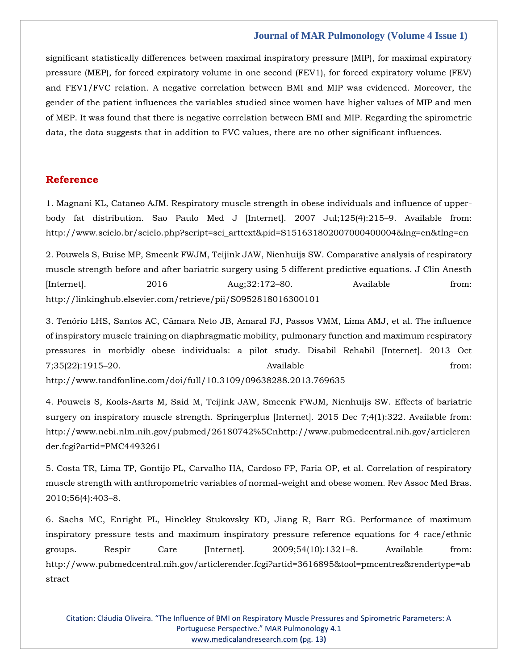significant statistically differences between maximal inspiratory pressure (MIP), for maximal expiratory pressure (MEP), for forced expiratory volume in one second (FEV1), for forced expiratory volume (FEV) and FEV1/FVC relation. A negative correlation between BMI and MIP was evidenced. Moreover, the gender of the patient influences the variables studied since women have higher values of MIP and men of MEP. It was found that there is negative correlation between BMI and MIP. Regarding the spirometric data, the data suggests that in addition to FVC values, there are no other significant influences.

## **Reference**

[1. Magnani KL, Cataneo AJM. Respiratory muscle strength in obese individuals and influence of upper](1.%20Magnani%20KL,%20Cataneo%20AJM.%20Respiratory%20muscle%20strength%20in%20obese%20individuals%20and%20influence%20of%20upper-body%20fat%20distribution.%20Sao%20Paulo%20Med%20J%20%5bInternet%5d.%202007%20Jul;125(4):215–9.%20Available%20from:%20http:/www.scielo.br/scielo.php?script=sci_arttext&pid=S151631802007000400004&lng=en&tlng=en)[body fat distribution. Sao Paulo Med J \[Internet\]. 2007 Jul;125\(4\):215](1.%20Magnani%20KL,%20Cataneo%20AJM.%20Respiratory%20muscle%20strength%20in%20obese%20individuals%20and%20influence%20of%20upper-body%20fat%20distribution.%20Sao%20Paulo%20Med%20J%20%5bInternet%5d.%202007%20Jul;125(4):215–9.%20Available%20from:%20http:/www.scielo.br/scielo.php?script=sci_arttext&pid=S151631802007000400004&lng=en&tlng=en)–9. Available from: [http://www.scielo.br/scielo.php?script=sci\\_arttext&pid=S151631802007000400004&lng=en&tlng=en](1.%20Magnani%20KL,%20Cataneo%20AJM.%20Respiratory%20muscle%20strength%20in%20obese%20individuals%20and%20influence%20of%20upper-body%20fat%20distribution.%20Sao%20Paulo%20Med%20J%20%5bInternet%5d.%202007%20Jul;125(4):215–9.%20Available%20from:%20http:/www.scielo.br/scielo.php?script=sci_arttext&pid=S151631802007000400004&lng=en&tlng=en)

[2. Pouwels S, Buise MP, Smeenk FWJM, Teijink JAW, Nienhuijs SW. Comparative analysis of respiratory](file:///D:/Proofs/3.%20October/PY/2.%20Pouwels%20S,%20Buise%20MP,%20Smeenk%20FWJM,%20Teijink%20JAW,%20Nienhuijs%20SW.%20Comparative%20analysis%20of%20respiratory%20muscle%20strength%20before%20and%20after%20bariatric%20surgery%20using%205%20different%20predictive%20equations.%20J%20Clin%20Anesth%20%5bInternet%5d.%202016%20Aug;32:172–80.%20Available%20from:%20http:/linkinghub.elsevier.com/retrieve/pii/S0952818016300101)  [muscle strength before and after bariatric surgery using 5 different predictive equations. J Clin Anesth](file:///D:/Proofs/3.%20October/PY/2.%20Pouwels%20S,%20Buise%20MP,%20Smeenk%20FWJM,%20Teijink%20JAW,%20Nienhuijs%20SW.%20Comparative%20analysis%20of%20respiratory%20muscle%20strength%20before%20and%20after%20bariatric%20surgery%20using%205%20different%20predictive%20equations.%20J%20Clin%20Anesth%20%5bInternet%5d.%202016%20Aug;32:172–80.%20Available%20from:%20http:/linkinghub.elsevier.com/retrieve/pii/S0952818016300101)  [\[Internet\]. 2016 Aug;32:172](file:///D:/Proofs/3.%20October/PY/2.%20Pouwels%20S,%20Buise%20MP,%20Smeenk%20FWJM,%20Teijink%20JAW,%20Nienhuijs%20SW.%20Comparative%20analysis%20of%20respiratory%20muscle%20strength%20before%20and%20after%20bariatric%20surgery%20using%205%20different%20predictive%20equations.%20J%20Clin%20Anesth%20%5bInternet%5d.%202016%20Aug;32:172–80.%20Available%20from:%20http:/linkinghub.elsevier.com/retrieve/pii/S0952818016300101)–80. Available from: [http://linkinghub.elsevier.com/retrieve/pii/S0952818016300101](file:///D:/Proofs/3.%20October/PY/2.%20Pouwels%20S,%20Buise%20MP,%20Smeenk%20FWJM,%20Teijink%20JAW,%20Nienhuijs%20SW.%20Comparative%20analysis%20of%20respiratory%20muscle%20strength%20before%20and%20after%20bariatric%20surgery%20using%205%20different%20predictive%20equations.%20J%20Clin%20Anesth%20%5bInternet%5d.%202016%20Aug;32:172–80.%20Available%20from:%20http:/linkinghub.elsevier.com/retrieve/pii/S0952818016300101)

[3. Tenório LHS, Santos AC, Câmara Neto JB, Amaral FJ, Passos VMM, Lima AMJ, et al. The influence](file:///D:/Proofs/3.%20October/PY/3.%20Tenório%20LHS,%20Santos%20AC,%20Câmara%20Neto%20JB,%20Amaral%20FJ,%20Passos%20VMM,%20Lima%20AMJ,%20et%20al.%20The%20influence%20of%20inspiratory%20muscle%20training%20on%20diaphragmatic%20mobility,%20pulmonary%20function%20and%20maximum%20respiratory%20pressures%20in%20morbidly%20obese%20individuals:%20a%20pilot%20study.%20Disabil%20Rehabil%20%5bInternet%5d.%202013%20Oct%207;35(22):1915–20.%20Available%20from:%20http:/www.tandfonline.com/doi/full/10.3109/09638288.2013.769635)  [of inspiratory muscle training on diaphragmatic mobility, pulmonary function and maximum respiratory](file:///D:/Proofs/3.%20October/PY/3.%20Tenório%20LHS,%20Santos%20AC,%20Câmara%20Neto%20JB,%20Amaral%20FJ,%20Passos%20VMM,%20Lima%20AMJ,%20et%20al.%20The%20influence%20of%20inspiratory%20muscle%20training%20on%20diaphragmatic%20mobility,%20pulmonary%20function%20and%20maximum%20respiratory%20pressures%20in%20morbidly%20obese%20individuals:%20a%20pilot%20study.%20Disabil%20Rehabil%20%5bInternet%5d.%202013%20Oct%207;35(22):1915–20.%20Available%20from:%20http:/www.tandfonline.com/doi/full/10.3109/09638288.2013.769635)  [pressures in morbidly obese individuals: a pilot study. Disabil Rehabil \[Internet\]. 2013 Oct](file:///D:/Proofs/3.%20October/PY/3.%20Tenório%20LHS,%20Santos%20AC,%20Câmara%20Neto%20JB,%20Amaral%20FJ,%20Passos%20VMM,%20Lima%20AMJ,%20et%20al.%20The%20influence%20of%20inspiratory%20muscle%20training%20on%20diaphragmatic%20mobility,%20pulmonary%20function%20and%20maximum%20respiratory%20pressures%20in%20morbidly%20obese%20individuals:%20a%20pilot%20study.%20Disabil%20Rehabil%20%5bInternet%5d.%202013%20Oct%207;35(22):1915–20.%20Available%20from:%20http:/www.tandfonline.com/doi/full/10.3109/09638288.2013.769635)  7;35(22):1915–[20. Available from:](file:///D:/Proofs/3.%20October/PY/3.%20Tenório%20LHS,%20Santos%20AC,%20Câmara%20Neto%20JB,%20Amaral%20FJ,%20Passos%20VMM,%20Lima%20AMJ,%20et%20al.%20The%20influence%20of%20inspiratory%20muscle%20training%20on%20diaphragmatic%20mobility,%20pulmonary%20function%20and%20maximum%20respiratory%20pressures%20in%20morbidly%20obese%20individuals:%20a%20pilot%20study.%20Disabil%20Rehabil%20%5bInternet%5d.%202013%20Oct%207;35(22):1915–20.%20Available%20from:%20http:/www.tandfonline.com/doi/full/10.3109/09638288.2013.769635)  [http://www.tandfonline.com/doi/full/10.3109/09638288.2013.769635](file:///D:/Proofs/3.%20October/PY/3.%20Tenório%20LHS,%20Santos%20AC,%20Câmara%20Neto%20JB,%20Amaral%20FJ,%20Passos%20VMM,%20Lima%20AMJ,%20et%20al.%20The%20influence%20of%20inspiratory%20muscle%20training%20on%20diaphragmatic%20mobility,%20pulmonary%20function%20and%20maximum%20respiratory%20pressures%20in%20morbidly%20obese%20individuals:%20a%20pilot%20study.%20Disabil%20Rehabil%20%5bInternet%5d.%202013%20Oct%207;35(22):1915–20.%20Available%20from:%20http:/www.tandfonline.com/doi/full/10.3109/09638288.2013.769635)

[4. Pouwels S, Kools-Aarts M, Said M, Teijink JAW, Smeenk FWJM, Nienhuijs SW. Effects of bariatric](file:///D:/Proofs/3.%20October/PY/4.%20Pouwels%20S,%20Kools-Aarts%20M,%20Said%20M,%20Teijink%20JAW,%20Smeenk%20FWJM,%20Nienhuijs%20SW.%20Effects%20of%20bariatric%20surgery%20on%20inspiratory%20muscle%20strength.%20Springerplus%20%5bInternet%5d.%202015%20Dec%207;4(1):322.%20Available%20from:%20http:/www.ncbi.nlm.nih.gov/pubmed/26180742/nhttp:/www.pubmedcentral.nih.gov/articlerender.fcgi?artid=PMC4493261)  [surgery on inspiratory muscle strength. Springerplus \[Internet\]. 2015 Dec 7;4\(1\):322. Available from:](file:///D:/Proofs/3.%20October/PY/4.%20Pouwels%20S,%20Kools-Aarts%20M,%20Said%20M,%20Teijink%20JAW,%20Smeenk%20FWJM,%20Nienhuijs%20SW.%20Effects%20of%20bariatric%20surgery%20on%20inspiratory%20muscle%20strength.%20Springerplus%20%5bInternet%5d.%202015%20Dec%207;4(1):322.%20Available%20from:%20http:/www.ncbi.nlm.nih.gov/pubmed/26180742/nhttp:/www.pubmedcentral.nih.gov/articlerender.fcgi?artid=PMC4493261)  [http://www.ncbi.nlm.nih.gov/pubmed/26180742%5Cnhttp://www.pubmedcentral.nih.gov/articleren](file:///D:/Proofs/3.%20October/PY/4.%20Pouwels%20S,%20Kools-Aarts%20M,%20Said%20M,%20Teijink%20JAW,%20Smeenk%20FWJM,%20Nienhuijs%20SW.%20Effects%20of%20bariatric%20surgery%20on%20inspiratory%20muscle%20strength.%20Springerplus%20%5bInternet%5d.%202015%20Dec%207;4(1):322.%20Available%20from:%20http:/www.ncbi.nlm.nih.gov/pubmed/26180742/nhttp:/www.pubmedcentral.nih.gov/articlerender.fcgi?artid=PMC4493261) [der.fcgi?artid=PMC4493261](file:///D:/Proofs/3.%20October/PY/4.%20Pouwels%20S,%20Kools-Aarts%20M,%20Said%20M,%20Teijink%20JAW,%20Smeenk%20FWJM,%20Nienhuijs%20SW.%20Effects%20of%20bariatric%20surgery%20on%20inspiratory%20muscle%20strength.%20Springerplus%20%5bInternet%5d.%202015%20Dec%207;4(1):322.%20Available%20from:%20http:/www.ncbi.nlm.nih.gov/pubmed/26180742/nhttp:/www.pubmedcentral.nih.gov/articlerender.fcgi?artid=PMC4493261)

[5. Costa TR, Lima TP, Gontijo PL, Carvalho HA, Cardoso FP, Faria OP, et al. Correlation of respiratory](http://www.pubmedcentral.nih.gov/articlerender.fcgi?artid=3616895&tool=pmcentrez&rendertype=abstract)  [muscle strength with anthropometric variables of normal-weight and obese women. Rev Assoc Med Bras.](http://www.pubmedcentral.nih.gov/articlerender.fcgi?artid=3616895&tool=pmcentrez&rendertype=abstract)  [2010;56\(4\):403](http://www.pubmedcentral.nih.gov/articlerender.fcgi?artid=3616895&tool=pmcentrez&rendertype=abstract)–8.

[6. Sachs MC, Enright PL, Hinckley Stukovsky KD, Jiang R, Barr RG. Performance of maximum](file:///D:/Proofs/3.%20October/PY/6.%20Sachs%20MC,%20Enright%20PL,%20Hinckley%20Stukovsky%20KD,%20Jiang%20R,%20Barr%20RG.%20Performance%20of%20maximum%20inspiratory%20pressure%20tests%20and%20maximum%20inspiratory%20pressure%20reference%20equations%20for%204%20race/ethnic%20groups.%20Respir%20Care%20%5bInternet%5d.%202009;54(10):1321–8.%20Available%20from:%20http:/www.pubmedcentral.nih.gov/articlerender.fcgi?artid=3616895&tool=pmcentrez&rendertype=abstract)  [inspiratory pressure tests and maximum inspiratory pressure reference equations for 4 race/ethnic](file:///D:/Proofs/3.%20October/PY/6.%20Sachs%20MC,%20Enright%20PL,%20Hinckley%20Stukovsky%20KD,%20Jiang%20R,%20Barr%20RG.%20Performance%20of%20maximum%20inspiratory%20pressure%20tests%20and%20maximum%20inspiratory%20pressure%20reference%20equations%20for%204%20race/ethnic%20groups.%20Respir%20Care%20%5bInternet%5d.%202009;54(10):1321–8.%20Available%20from:%20http:/www.pubmedcentral.nih.gov/articlerender.fcgi?artid=3616895&tool=pmcentrez&rendertype=abstract)  [groups. Respir Care \[Internet\]. 2009;54\(10\):1321](file:///D:/Proofs/3.%20October/PY/6.%20Sachs%20MC,%20Enright%20PL,%20Hinckley%20Stukovsky%20KD,%20Jiang%20R,%20Barr%20RG.%20Performance%20of%20maximum%20inspiratory%20pressure%20tests%20and%20maximum%20inspiratory%20pressure%20reference%20equations%20for%204%20race/ethnic%20groups.%20Respir%20Care%20%5bInternet%5d.%202009;54(10):1321–8.%20Available%20from:%20http:/www.pubmedcentral.nih.gov/articlerender.fcgi?artid=3616895&tool=pmcentrez&rendertype=abstract)–8. Available from: [http://www.pubmedcentral.nih.gov/articlerender.fcgi?artid=3616895&tool=pmcentrez&rendertype=ab](file:///D:/Proofs/3.%20October/PY/6.%20Sachs%20MC,%20Enright%20PL,%20Hinckley%20Stukovsky%20KD,%20Jiang%20R,%20Barr%20RG.%20Performance%20of%20maximum%20inspiratory%20pressure%20tests%20and%20maximum%20inspiratory%20pressure%20reference%20equations%20for%204%20race/ethnic%20groups.%20Respir%20Care%20%5bInternet%5d.%202009;54(10):1321–8.%20Available%20from:%20http:/www.pubmedcentral.nih.gov/articlerender.fcgi?artid=3616895&tool=pmcentrez&rendertype=abstract) [stract](file:///D:/Proofs/3.%20October/PY/6.%20Sachs%20MC,%20Enright%20PL,%20Hinckley%20Stukovsky%20KD,%20Jiang%20R,%20Barr%20RG.%20Performance%20of%20maximum%20inspiratory%20pressure%20tests%20and%20maximum%20inspiratory%20pressure%20reference%20equations%20for%204%20race/ethnic%20groups.%20Respir%20Care%20%5bInternet%5d.%202009;54(10):1321–8.%20Available%20from:%20http:/www.pubmedcentral.nih.gov/articlerender.fcgi?artid=3616895&tool=pmcentrez&rendertype=abstract)

Citation: Cláudia Oliveira. "The Influence of BMI on Respiratory Muscle Pressures and Spirometric Parameters: A Portuguese Perspective." MAR Pulmonology 4.1 [www.medicalandresearch.com](http://www.medicalandresearch.com/) **(**pg. 13**)**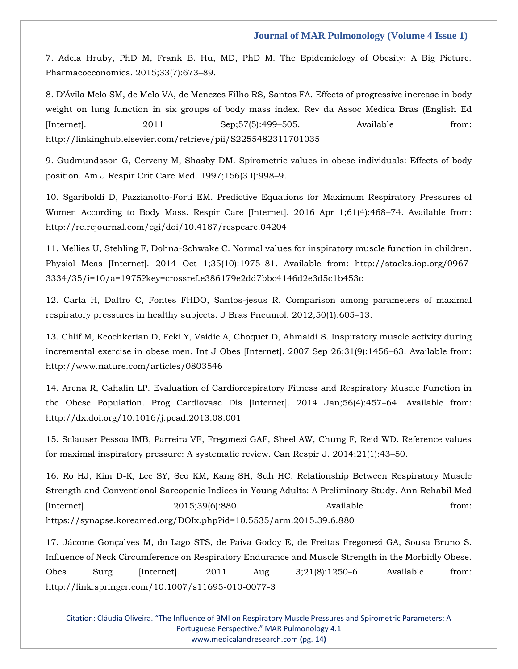[7. Adela Hruby, PhD M, Frank B. Hu, MD, PhD M. The Epidemiology of Obesity: A Big Picture.](https://www.google.com/search?q=The+Epidemiology+of+Obesity%3A+A+Big+Picture.+&rlz=1C1ONGR_enIN971IN971&sxsrf=AOaemvJGwT1a4g300RR_95o7RrZA64z5Ew%3A1637992209209&ei=EcehYfWYDIWcmgfk8ZzYBw&ved=0ahUKEwi15Zi-7Lf0AhUFjuYKHeQ4B3sQ4dUDCA4&oq=The+Epidemiology+of+Obesity%3A+A+Big+Picture.+&gs_lcp=Cgdnd3Mtd2l6EAwyBQgAEIAEMgYIABAWEB46BwgjEOoCECdKBAhBGABKBAhGGABQxwNYxwNg2ghoAXACeACAAXGIAXGSAQMwLjGYAQCgAQGgAQKwAQrAAQE&sclient=gws-wiz)  [Pharmacoeconomics. 2015;33\(7\):673](https://www.google.com/search?q=The+Epidemiology+of+Obesity%3A+A+Big+Picture.+&rlz=1C1ONGR_enIN971IN971&sxsrf=AOaemvJGwT1a4g300RR_95o7RrZA64z5Ew%3A1637992209209&ei=EcehYfWYDIWcmgfk8ZzYBw&ved=0ahUKEwi15Zi-7Lf0AhUFjuYKHeQ4B3sQ4dUDCA4&oq=The+Epidemiology+of+Obesity%3A+A+Big+Picture.+&gs_lcp=Cgdnd3Mtd2l6EAwyBQgAEIAEMgYIABAWEB46BwgjEOoCECdKBAhBGABKBAhGGABQxwNYxwNg2ghoAXACeACAAXGIAXGSAQMwLjGYAQCgAQGgAQKwAQrAAQE&sclient=gws-wiz)–89.

[8. D'Ávila Melo SM, de Melo VA, de Menezes Filho RS, Santos FA. Effects of progressive increase in body](file:///D:/Proofs/3.%20October/PY/8.%20D’Ávila%20Melo%20SM,%20de%20Melo%20VA,%20de%20Menezes%20Filho%20RS,%20Santos%20FA.%20Effects%20of%20progressive%20increase%20in%20body%20weight%20on%20lung%20function%20in%20six%20groups%20of%20body%20mass%20index.%20Rev%20da%20Assoc%20Médica%20Bras%20(English%20Ed%20%5bInternet%5d.%202011%20Sep;57(5):499–505.%20Available%20from:%20http:/linkinghub.elsevier.com/retrieve/pii/S2255482311701035)  [weight on lung function in six groups of body mass index. Rev da Assoc Médica Bras \(English Ed](file:///D:/Proofs/3.%20October/PY/8.%20D’Ávila%20Melo%20SM,%20de%20Melo%20VA,%20de%20Menezes%20Filho%20RS,%20Santos%20FA.%20Effects%20of%20progressive%20increase%20in%20body%20weight%20on%20lung%20function%20in%20six%20groups%20of%20body%20mass%20index.%20Rev%20da%20Assoc%20Médica%20Bras%20(English%20Ed%20%5bInternet%5d.%202011%20Sep;57(5):499–505.%20Available%20from:%20http:/linkinghub.elsevier.com/retrieve/pii/S2255482311701035)  [\[Internet\]. 2011 Sep;57\(5\):499](file:///D:/Proofs/3.%20October/PY/8.%20D’Ávila%20Melo%20SM,%20de%20Melo%20VA,%20de%20Menezes%20Filho%20RS,%20Santos%20FA.%20Effects%20of%20progressive%20increase%20in%20body%20weight%20on%20lung%20function%20in%20six%20groups%20of%20body%20mass%20index.%20Rev%20da%20Assoc%20Médica%20Bras%20(English%20Ed%20%5bInternet%5d.%202011%20Sep;57(5):499–505.%20Available%20from:%20http:/linkinghub.elsevier.com/retrieve/pii/S2255482311701035)–505. Available from: [http://linkinghub.elsevier.com/retrieve/pii/S2255482311701035](file:///D:/Proofs/3.%20October/PY/8.%20D’Ávila%20Melo%20SM,%20de%20Melo%20VA,%20de%20Menezes%20Filho%20RS,%20Santos%20FA.%20Effects%20of%20progressive%20increase%20in%20body%20weight%20on%20lung%20function%20in%20six%20groups%20of%20body%20mass%20index.%20Rev%20da%20Assoc%20Médica%20Bras%20(English%20Ed%20%5bInternet%5d.%202011%20Sep;57(5):499–505.%20Available%20from:%20http:/linkinghub.elsevier.com/retrieve/pii/S2255482311701035)

[9. Gudmundsson G, Cerveny M, Shasby DM. Spirometric values in obese individuals: Effects of body](https://www.google.com/search?q=Spirometric+values+in+obese+individuals%3A+Effects+of+body+position&rlz=1C1ONGR_enIN971IN971&sxsrf=AOaemvLNXmbTcCLYCELe1LK-WX0f9cbOHg%3A1637992195279&ei=A8ehYdDREJziz7sPvLCHwAo&ved=0ahUKEwiQ38a37Lf0AhUc8XMBHTzYAagQ4dUDCA4&oq=Spirometric+values+in+obese+individuals%3A+Effects+of+body+position&gs_lcp=Cgdnd3Mtd2l6EAw6BwgjEOoCECdKBAhBGABKBAhGGABQigJYigJg0gVoAXACeACAAXeIAXeSAQMwLjGYAQCgAQGgAQKwAQrAAQE&sclient=gws-wiz)  [position. Am J Respir Crit Care Med. 1997;156\(3 I\):998](https://www.google.com/search?q=Spirometric+values+in+obese+individuals%3A+Effects+of+body+position&rlz=1C1ONGR_enIN971IN971&sxsrf=AOaemvLNXmbTcCLYCELe1LK-WX0f9cbOHg%3A1637992195279&ei=A8ehYdDREJziz7sPvLCHwAo&ved=0ahUKEwiQ38a37Lf0AhUc8XMBHTzYAagQ4dUDCA4&oq=Spirometric+values+in+obese+individuals%3A+Effects+of+body+position&gs_lcp=Cgdnd3Mtd2l6EAw6BwgjEOoCECdKBAhBGABKBAhGGABQigJYigJg0gVoAXACeACAAXeIAXeSAQMwLjGYAQCgAQGgAQKwAQrAAQE&sclient=gws-wiz)–9.

[10. Sgariboldi D, Pazzianotto-Forti EM. Predictive Equations for Maximum Respiratory Pressures of](file:///D:/Proofs/3.%20October/PY/10.%20Sgariboldi%20D,%20Pazzianotto-Forti%20EM.%20Predictive%20Equations%20for%20Maximum%20Respiratory%20Pressures%20of%20Women%20According%20to%20Body%20Mass.%20Respir%20Care%20%5bInternet%5d.%202016%20Apr%201;61(4):468–74.%20Available%20from:%20http:/rc.rcjournal.com/cgi/doi/10.4187/respcare.04204)  [Women According to Body Mass. Respir Care \[Internet\]. 2016 Apr 1;61\(4\):468](file:///D:/Proofs/3.%20October/PY/10.%20Sgariboldi%20D,%20Pazzianotto-Forti%20EM.%20Predictive%20Equations%20for%20Maximum%20Respiratory%20Pressures%20of%20Women%20According%20to%20Body%20Mass.%20Respir%20Care%20%5bInternet%5d.%202016%20Apr%201;61(4):468–74.%20Available%20from:%20http:/rc.rcjournal.com/cgi/doi/10.4187/respcare.04204)–74. Available from: [http://rc.rcjournal.com/cgi/doi/10.4187/respcare.04204](file:///D:/Proofs/3.%20October/PY/10.%20Sgariboldi%20D,%20Pazzianotto-Forti%20EM.%20Predictive%20Equations%20for%20Maximum%20Respiratory%20Pressures%20of%20Women%20According%20to%20Body%20Mass.%20Respir%20Care%20%5bInternet%5d.%202016%20Apr%201;61(4):468–74.%20Available%20from:%20http:/rc.rcjournal.com/cgi/doi/10.4187/respcare.04204)

[11. Mellies U, Stehling F, Dohna-Schwake C. Normal values for inspiratory muscle function in children.](file:///D:/Proofs/3.%20October/PY/11.%20Mellies%20U,%20Stehling%20F,%20Dohna-Schwake%20C.%20Normal%20values%20for%20inspiratory%20muscle%20function%20in%20children.%20Physiol%20Meas%20%5bInternet%5d.%202014%20Oct%201;35(10):1975–81.%20Available%20from:%20http:/stacks.iop.org/0967-3334/35/i=10/a=1975?key=crossref.e386179e2dd7bbc4146d2e3d5c1b453c)  [Physiol Meas \[Internet\]. 2014 Oct 1;35\(10\):1975](file:///D:/Proofs/3.%20October/PY/11.%20Mellies%20U,%20Stehling%20F,%20Dohna-Schwake%20C.%20Normal%20values%20for%20inspiratory%20muscle%20function%20in%20children.%20Physiol%20Meas%20%5bInternet%5d.%202014%20Oct%201;35(10):1975–81.%20Available%20from:%20http:/stacks.iop.org/0967-3334/35/i=10/a=1975?key=crossref.e386179e2dd7bbc4146d2e3d5c1b453c)–81. Available from: http://stacks.iop.org/0967- [3334/35/i=10/a=1975?key=crossref.e386179e2dd7bbc4146d2e3d5c1b453c](file:///D:/Proofs/3.%20October/PY/11.%20Mellies%20U,%20Stehling%20F,%20Dohna-Schwake%20C.%20Normal%20values%20for%20inspiratory%20muscle%20function%20in%20children.%20Physiol%20Meas%20%5bInternet%5d.%202014%20Oct%201;35(10):1975–81.%20Available%20from:%20http:/stacks.iop.org/0967-3334/35/i=10/a=1975?key=crossref.e386179e2dd7bbc4146d2e3d5c1b453c)

[12. Carla H, Daltro C, Fontes FHDO, Santos-jesus R. Comparison among parameters of maximal](https://www.google.com/search?q=Comparison+among+parameters+of+maximal+respiratory+pressures+in+healthy+subjects.&rlz=1C1ONGR_enIN971IN971&sxsrf=AOaemvIYaHTCpkBrvOZ_BGGQ7VOcqWFs8Q%3A1637992180202&ei=9MahYezhC-3B3LUPxrKA4Aw&ved=0ahUKEwjsq66w7Lf0AhXtILcAHUYZAMwQ4dUDCA4&oq=Comparison+among+parameters+of+maximal+respiratory+pressures+in+healthy+subjects.&gs_lcp=Cgdnd3Mtd2l6EAw6BwgjEOoCECdKBAhBGABKBAhGGABQmANYmANgkwloAXACeACAAYYBiAGGAZIBAzAuMZgBAKABAaABArABCsABAQ&sclient=gws-wiz)  [respiratory pressures in healthy subjects. J Bras Pneumol. 2012;50\(1\):605](https://www.google.com/search?q=Comparison+among+parameters+of+maximal+respiratory+pressures+in+healthy+subjects.&rlz=1C1ONGR_enIN971IN971&sxsrf=AOaemvIYaHTCpkBrvOZ_BGGQ7VOcqWFs8Q%3A1637992180202&ei=9MahYezhC-3B3LUPxrKA4Aw&ved=0ahUKEwjsq66w7Lf0AhXtILcAHUYZAMwQ4dUDCA4&oq=Comparison+among+parameters+of+maximal+respiratory+pressures+in+healthy+subjects.&gs_lcp=Cgdnd3Mtd2l6EAw6BwgjEOoCECdKBAhBGABKBAhGGABQmANYmANgkwloAXACeACAAYYBiAGGAZIBAzAuMZgBAKABAaABArABCsABAQ&sclient=gws-wiz)–13.

[13. Chlif M, Keochkerian D, Feki Y, Vaidie A, Choquet D, Ahmaidi S. Inspiratory muscle activity during](file:///D:/Proofs/3.%20October/PY/13.%20Chlif%20M,%20Keochkerian%20D,%20Feki%20Y,%20Vaidie%20A,%20Choquet%20D,%20Ahmaidi%20S.%20Inspiratory%20muscle%20activity%20during%20incremental%20exercise%20in%20obese%20men.%20Int%20J%20Obes%20%5bInternet%5d.%202007%20Sep%2026;31(9):1456–63.%20Available%20from:%20http:/www.nature.com/articles/0803546)  [incremental exercise in obese men. Int J Obes \[Internet\]. 2007 Sep 26;31\(9\):1456](file:///D:/Proofs/3.%20October/PY/13.%20Chlif%20M,%20Keochkerian%20D,%20Feki%20Y,%20Vaidie%20A,%20Choquet%20D,%20Ahmaidi%20S.%20Inspiratory%20muscle%20activity%20during%20incremental%20exercise%20in%20obese%20men.%20Int%20J%20Obes%20%5bInternet%5d.%202007%20Sep%2026;31(9):1456–63.%20Available%20from:%20http:/www.nature.com/articles/0803546)–63. Available from: [http://www.nature.com/articles/0803546](file:///D:/Proofs/3.%20October/PY/13.%20Chlif%20M,%20Keochkerian%20D,%20Feki%20Y,%20Vaidie%20A,%20Choquet%20D,%20Ahmaidi%20S.%20Inspiratory%20muscle%20activity%20during%20incremental%20exercise%20in%20obese%20men.%20Int%20J%20Obes%20%5bInternet%5d.%202007%20Sep%2026;31(9):1456–63.%20Available%20from:%20http:/www.nature.com/articles/0803546)

[14. Arena R, Cahalin LP. Evaluation of Cardiorespiratory Fitness and Respiratory Muscle Function in](file:///D:/Proofs/3.%20October/PY/14.%20Arena%20R,%20Cahalin%20LP.%20Evaluation%20of%20Cardiorespiratory%20Fitness%20and%20Respiratory%20Muscle%20Function%20in%20the%20Obese%20Population.%20Prog%20Cardiovasc%20Dis%20%5bInternet%5d.%202014%20Jan;56(4):457–64.%20Available%20from:%20http:/dx.doi.org/10.1016/j.pcad.2013.08.001)  [the Obese Population. Prog Cardiovasc Dis \[Internet\]. 2014 Jan;56\(4\):457](file:///D:/Proofs/3.%20October/PY/14.%20Arena%20R,%20Cahalin%20LP.%20Evaluation%20of%20Cardiorespiratory%20Fitness%20and%20Respiratory%20Muscle%20Function%20in%20the%20Obese%20Population.%20Prog%20Cardiovasc%20Dis%20%5bInternet%5d.%202014%20Jan;56(4):457–64.%20Available%20from:%20http:/dx.doi.org/10.1016/j.pcad.2013.08.001)–64. Available from: [http://dx.doi.org/10.1016/j.pcad.2013.08.001](file:///D:/Proofs/3.%20October/PY/14.%20Arena%20R,%20Cahalin%20LP.%20Evaluation%20of%20Cardiorespiratory%20Fitness%20and%20Respiratory%20Muscle%20Function%20in%20the%20Obese%20Population.%20Prog%20Cardiovasc%20Dis%20%5bInternet%5d.%202014%20Jan;56(4):457–64.%20Available%20from:%20http:/dx.doi.org/10.1016/j.pcad.2013.08.001)

[15. Sclauser Pessoa IMB, Parreira VF, Fregonezi GAF, Sheel AW, Chung F, Reid WD. Reference values](https://www.google.com/search?q=Reference+values+for+maximal+inspiratory+pressure%3A+A+systematic+review&rlz=1C1ONGR_enIN971IN971&sxsrf=AOaemvKtILHp1DWiIMMI2HnUg4qD0DVy3g%3A1637992163853&ei=48ahYbfPM57C3LUP0L-7yAU&ved=0ahUKEwj3zMio7Lf0AhUeIbcAHdDfDlkQ4dUDCA4&oq=Reference+values+for+maximal+inspiratory+pressure%3A+A+systematic+review&gs_lcp=Cgdnd3Mtd2l6EAwyBggAEBYQHjoHCCMQ6gIQJ0oECEEYAEoECEYYAFC3A1i3A2D7CGgBcAJ4AIABdogBdpIBAzAuMZgBAKABAaABArABCsABAQ&sclient=gws-wiz)  [for maximal inspiratory pressure: A systematic review. Can Respir J. 2014;21\(1\):43](https://www.google.com/search?q=Reference+values+for+maximal+inspiratory+pressure%3A+A+systematic+review&rlz=1C1ONGR_enIN971IN971&sxsrf=AOaemvKtILHp1DWiIMMI2HnUg4qD0DVy3g%3A1637992163853&ei=48ahYbfPM57C3LUP0L-7yAU&ved=0ahUKEwj3zMio7Lf0AhUeIbcAHdDfDlkQ4dUDCA4&oq=Reference+values+for+maximal+inspiratory+pressure%3A+A+systematic+review&gs_lcp=Cgdnd3Mtd2l6EAwyBggAEBYQHjoHCCMQ6gIQJ0oECEEYAEoECEYYAFC3A1i3A2D7CGgBcAJ4AIABdogBdpIBAzAuMZgBAKABAaABArABCsABAQ&sclient=gws-wiz)–50.

16. Ro HJ, Kim D-K, Lee SY, Seo KM, Kang SH, [Suh HC. Relationship Between Respiratory Muscle](file:///D:/Proofs/3.%20October/PY/16.%20Ro%20HJ,%20Kim%20D-K,%20Lee%20SY,%20Seo%20KM,%20Kang%20SH,%20Suh%20HC.%20Relationship%20Between%20Respiratory%20Muscle%20Strength%20and%20Conventional%20Sarcopenic%20Indices%20in%20Young%20Adults:%20A%20Preliminary%20Study.%20Ann%20Rehabil%20Med%20%5bInternet%5d.%202015;39(6):880.%20Available%20from:%20https:/synapse.koreamed.org/DOIx.php?id=10.5535/arm.2015.39.6.880)  [Strength and Conventional Sarcopenic Indices in Young Adults: A Preliminary Study. Ann Rehabil Med](file:///D:/Proofs/3.%20October/PY/16.%20Ro%20HJ,%20Kim%20D-K,%20Lee%20SY,%20Seo%20KM,%20Kang%20SH,%20Suh%20HC.%20Relationship%20Between%20Respiratory%20Muscle%20Strength%20and%20Conventional%20Sarcopenic%20Indices%20in%20Young%20Adults:%20A%20Preliminary%20Study.%20Ann%20Rehabil%20Med%20%5bInternet%5d.%202015;39(6):880.%20Available%20from:%20https:/synapse.koreamed.org/DOIx.php?id=10.5535/arm.2015.39.6.880)  [Internet]. 2015;39(6):880. Available from: [https://synapse.koreamed.org/DOIx.php?id=10.5535/arm.2015.39.6.880](file:///D:/Proofs/3.%20October/PY/16.%20Ro%20HJ,%20Kim%20D-K,%20Lee%20SY,%20Seo%20KM,%20Kang%20SH,%20Suh%20HC.%20Relationship%20Between%20Respiratory%20Muscle%20Strength%20and%20Conventional%20Sarcopenic%20Indices%20in%20Young%20Adults:%20A%20Preliminary%20Study.%20Ann%20Rehabil%20Med%20%5bInternet%5d.%202015;39(6):880.%20Available%20from:%20https:/synapse.koreamed.org/DOIx.php?id=10.5535/arm.2015.39.6.880)

[17. Jácome Gonçalves M, do Lago STS, de Paiva Godoy E, de Freitas Fregonezi GA, Sousa Bruno S.](file:///D:/Proofs/3.%20October/PY/17.%20Jácome%20Gonçalves%20M,%20do%20Lago%20STS,%20de%20Paiva%20Godoy%20E,%20de%20Freitas%20Fregonezi%20GA,%20Sousa%20Bruno%20S.%20Influence%20of%20Neck%20Circumference%20on%20Respiratory%20Endurance%20and%20Muscle%20Strength%20in%20the%20Morbidly%20Obese.%20Obes%20Surg%20%5bInternet%5d.%202011%20Aug%203;21(8):1250–6.%20Available%20from:%20http:/link.springer.com/10.1007/s11695-010-0077-3)  [Influence of Neck Circumference on Respiratory Endurance and Muscle Strength in the Morbidly Obese.](file:///D:/Proofs/3.%20October/PY/17.%20Jácome%20Gonçalves%20M,%20do%20Lago%20STS,%20de%20Paiva%20Godoy%20E,%20de%20Freitas%20Fregonezi%20GA,%20Sousa%20Bruno%20S.%20Influence%20of%20Neck%20Circumference%20on%20Respiratory%20Endurance%20and%20Muscle%20Strength%20in%20the%20Morbidly%20Obese.%20Obes%20Surg%20%5bInternet%5d.%202011%20Aug%203;21(8):1250–6.%20Available%20from:%20http:/link.springer.com/10.1007/s11695-010-0077-3)  [Obes Surg \[Internet\]. 2011 Aug 3;21\(8\):1250](file:///D:/Proofs/3.%20October/PY/17.%20Jácome%20Gonçalves%20M,%20do%20Lago%20STS,%20de%20Paiva%20Godoy%20E,%20de%20Freitas%20Fregonezi%20GA,%20Sousa%20Bruno%20S.%20Influence%20of%20Neck%20Circumference%20on%20Respiratory%20Endurance%20and%20Muscle%20Strength%20in%20the%20Morbidly%20Obese.%20Obes%20Surg%20%5bInternet%5d.%202011%20Aug%203;21(8):1250–6.%20Available%20from:%20http:/link.springer.com/10.1007/s11695-010-0077-3)–6. Available from: [http://link.springer.com/10.1007/s11695-010-0077-3](file:///D:/Proofs/3.%20October/PY/17.%20Jácome%20Gonçalves%20M,%20do%20Lago%20STS,%20de%20Paiva%20Godoy%20E,%20de%20Freitas%20Fregonezi%20GA,%20Sousa%20Bruno%20S.%20Influence%20of%20Neck%20Circumference%20on%20Respiratory%20Endurance%20and%20Muscle%20Strength%20in%20the%20Morbidly%20Obese.%20Obes%20Surg%20%5bInternet%5d.%202011%20Aug%203;21(8):1250–6.%20Available%20from:%20http:/link.springer.com/10.1007/s11695-010-0077-3)

Citation: Cláudia Oliveira. "The Influence of BMI on Respiratory Muscle Pressures and Spirometric Parameters: A Portuguese Perspective." MAR Pulmonology 4.1 [www.medicalandresearch.com](http://www.medicalandresearch.com/) **(**pg. 14**)**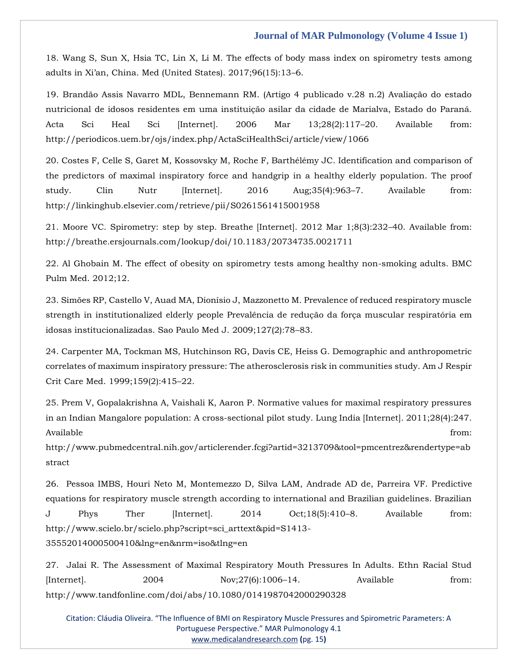[18. Wang S, Sun X, Hsia TC, Lin X, Li M. The effects of body mass index on spirometry tests among](https://www.google.com/search?q=The+effects+of+body+mass+index+on+spirometry+tests+among+adults+in+Xi%E2%80%99an&rlz=1C1ONGR_enIN971IN971&sxsrf=AOaemvK6Nc0B7nyFjzDNXN5ra1UdNgjPsQ%3A1637992140284&ei=zMahYdK6EL3B3LUP-OqPeA&ved=0ahUKEwjS0Kmd7Lf0AhW9ILcAHXj1Aw8Q4dUDCA4&oq=The+effects+of+body+mass+index+on+spirometry+tests+among+adults+in+Xi%E2%80%99an&gs_lcp=Cgdnd3Mtd2l6EAw6BwgjEOoCECdKBAhBGABKBAhGGABQ5gJY5gJg4AdoAXAAeACAAYUBiAGFAZIBAzAuMZgBAKABAaABArABCsABAQ&sclient=gws-wiz)  [adults in Xi'an, China. Med \(United States\). 2017;96\(15\):13–](https://www.google.com/search?q=The+effects+of+body+mass+index+on+spirometry+tests+among+adults+in+Xi%E2%80%99an&rlz=1C1ONGR_enIN971IN971&sxsrf=AOaemvK6Nc0B7nyFjzDNXN5ra1UdNgjPsQ%3A1637992140284&ei=zMahYdK6EL3B3LUP-OqPeA&ved=0ahUKEwjS0Kmd7Lf0AhW9ILcAHXj1Aw8Q4dUDCA4&oq=The+effects+of+body+mass+index+on+spirometry+tests+among+adults+in+Xi%E2%80%99an&gs_lcp=Cgdnd3Mtd2l6EAw6BwgjEOoCECdKBAhBGABKBAhGGABQ5gJY5gJg4AdoAXAAeACAAYUBiAGFAZIBAzAuMZgBAKABAaABArABCsABAQ&sclient=gws-wiz)6.

[19. Brandão Assis Navarro MDL, Bennemann RM. \(Artigo 4 publicado v.28 n.2\) Avaliação do estado](file:///D:/Proofs/3.%20October/PY/19.%20Brandão%20Assis%20Navarro%20MDL,%20Bennemann%20RM.%20(Artigo%204%20publicado%20v.28%20n.2)%20Avaliação%20do%20estado%20nutricional%20de%20idosos%20residentes%20em%20uma%20instituição%20asilar%20da%20cidade%20de%20Marialva,%20Estado%20do%20Paraná.%20Acta%20Sci%20Heal%20Sci%20%5bInternet%5d.%202006%20Mar%2013;28(2):117–20.%20Available%20from:%20http:/periodicos.uem.br/ojs/index.php/ActaSciHealthSci/article/view/1066)  [nutricional de idosos residentes em uma instituição asilar da cidade de Marialva, Estado do Paraná.](file:///D:/Proofs/3.%20October/PY/19.%20Brandão%20Assis%20Navarro%20MDL,%20Bennemann%20RM.%20(Artigo%204%20publicado%20v.28%20n.2)%20Avaliação%20do%20estado%20nutricional%20de%20idosos%20residentes%20em%20uma%20instituição%20asilar%20da%20cidade%20de%20Marialva,%20Estado%20do%20Paraná.%20Acta%20Sci%20Heal%20Sci%20%5bInternet%5d.%202006%20Mar%2013;28(2):117–20.%20Available%20from:%20http:/periodicos.uem.br/ojs/index.php/ActaSciHealthSci/article/view/1066)  [Acta Sci Heal Sci \[Internet\]. 2006 Mar 13;28\(2\):117](file:///D:/Proofs/3.%20October/PY/19.%20Brandão%20Assis%20Navarro%20MDL,%20Bennemann%20RM.%20(Artigo%204%20publicado%20v.28%20n.2)%20Avaliação%20do%20estado%20nutricional%20de%20idosos%20residentes%20em%20uma%20instituição%20asilar%20da%20cidade%20de%20Marialva,%20Estado%20do%20Paraná.%20Acta%20Sci%20Heal%20Sci%20%5bInternet%5d.%202006%20Mar%2013;28(2):117–20.%20Available%20from:%20http:/periodicos.uem.br/ojs/index.php/ActaSciHealthSci/article/view/1066)–20. Available from: [http://periodicos.uem.br/ojs/index.php/ActaSciHealthSci/article/view/1066](file:///D:/Proofs/3.%20October/PY/19.%20Brandão%20Assis%20Navarro%20MDL,%20Bennemann%20RM.%20(Artigo%204%20publicado%20v.28%20n.2)%20Avaliação%20do%20estado%20nutricional%20de%20idosos%20residentes%20em%20uma%20instituição%20asilar%20da%20cidade%20de%20Marialva,%20Estado%20do%20Paraná.%20Acta%20Sci%20Heal%20Sci%20%5bInternet%5d.%202006%20Mar%2013;28(2):117–20.%20Available%20from:%20http:/periodicos.uem.br/ojs/index.php/ActaSciHealthSci/article/view/1066)

[20. Costes F, Celle S, Garet M, Kossovsky M, Roche F, Barthélémy JC. Identification and comparison of](file:///D:/Proofs/3.%20October/PY/20.%20Costes%20F,%20Celle%20S,%20Garet%20M,%20Kossovsky%20M,%20Roche%20F,%20Barthélémy%20JC.%20Identification%20and%20comparison%20of%20the%20predictors%20of%20maximal%20inspiratory%20force%20and%20handgrip%20in%20a%20healthy%20elderly%20population.%20The%20proof%20study.%20Clin%20Nutr%20%5bInternet%5d.%202016%20Aug;35(4):963–7.%20Available%20from:%20http:/linkinghub.elsevier.com/retrieve/pii/S0261561415001958)  [the predictors of maximal inspiratory force and handgrip in a healthy elderly population. The proof](file:///D:/Proofs/3.%20October/PY/20.%20Costes%20F,%20Celle%20S,%20Garet%20M,%20Kossovsky%20M,%20Roche%20F,%20Barthélémy%20JC.%20Identification%20and%20comparison%20of%20the%20predictors%20of%20maximal%20inspiratory%20force%20and%20handgrip%20in%20a%20healthy%20elderly%20population.%20The%20proof%20study.%20Clin%20Nutr%20%5bInternet%5d.%202016%20Aug;35(4):963–7.%20Available%20from:%20http:/linkinghub.elsevier.com/retrieve/pii/S0261561415001958)  [study. Clin Nutr \[Internet\]. 2016 Aug;35\(4\):963](file:///D:/Proofs/3.%20October/PY/20.%20Costes%20F,%20Celle%20S,%20Garet%20M,%20Kossovsky%20M,%20Roche%20F,%20Barthélémy%20JC.%20Identification%20and%20comparison%20of%20the%20predictors%20of%20maximal%20inspiratory%20force%20and%20handgrip%20in%20a%20healthy%20elderly%20population.%20The%20proof%20study.%20Clin%20Nutr%20%5bInternet%5d.%202016%20Aug;35(4):963–7.%20Available%20from:%20http:/linkinghub.elsevier.com/retrieve/pii/S0261561415001958)–7. Available from: [http://linkinghub.elsevier.com/retrieve/pii/S0261561415001958](file:///D:/Proofs/3.%20October/PY/20.%20Costes%20F,%20Celle%20S,%20Garet%20M,%20Kossovsky%20M,%20Roche%20F,%20Barthélémy%20JC.%20Identification%20and%20comparison%20of%20the%20predictors%20of%20maximal%20inspiratory%20force%20and%20handgrip%20in%20a%20healthy%20elderly%20population.%20The%20proof%20study.%20Clin%20Nutr%20%5bInternet%5d.%202016%20Aug;35(4):963–7.%20Available%20from:%20http:/linkinghub.elsevier.com/retrieve/pii/S0261561415001958)

21. Moore VC. Spirometry: step [by step. Breathe \[Internet\]. 2012 Mar 1;8\(3\):232](file:///D:/Proofs/3.%20October/PY/21.%20Moore%20VC.%20Spirometry:%20step%20by%20step.%20Breathe%20%5bInternet%5d.%202012%20Mar%201;8(3):232–40.%20Available%20from:%20http:/breathe.ersjournals.com/lookup/doi/10.1183/20734735.0021711)–40. Available from: [http://breathe.ersjournals.com/lookup/doi/10.1183/20734735.0021711](file:///D:/Proofs/3.%20October/PY/21.%20Moore%20VC.%20Spirometry:%20step%20by%20step.%20Breathe%20%5bInternet%5d.%202012%20Mar%201;8(3):232–40.%20Available%20from:%20http:/breathe.ersjournals.com/lookup/doi/10.1183/20734735.0021711)

[22. Al Ghobain M. The effect of obesity on spirometry tests among healthy non-smoking adults. BMC](file:///D:/Proofs/3.%20October/PY/The%20effect%20of%20obesity%20on%20spirometry%20tests%20among%20healthy%20non-smoking%20adults)  [Pulm Med. 2012;12.](file:///D:/Proofs/3.%20October/PY/The%20effect%20of%20obesity%20on%20spirometry%20tests%20among%20healthy%20non-smoking%20adults)

[23. Simões RP, Castello V, Auad MA, Dionísio J, Mazzonetto M. Prevalence of reduced respiratory muscle](https://www.google.com/search?q=Prevalence+of+reduced+respiratory+muscle+strength+in+institutionalized+elderly+people+Preval%C3%AAncia+de+redu%C3%A7%C3%A3o+da+for%C3%A7a+muscular+respirat%C3%B3ria+em+idosas+institucionalizadas.&rlz=1C1ONGR_enIN971IN971&sxsrf=AOaemvLKLNmP_FJfTeqYCqHGbkG-QwPLtw%3A1637992118780&ei=tsahYe2BL5G88QPA3LIg&ved=0ahUKEwjttImT7Lf0AhURXnwKHUCuDAQQ4dUDCA4&uact=5&oq=Prevalence+of+reduced+respiratory+muscle+strength+in+institutionalized+elderly+people+Preval%C3%AAncia+de+redu%C3%A7%C3%A3o+da+for%C3%A7a+muscular+respirat%C3%B3ria+em+idosas+institucionalizadas.&gs_lcp=Cgdnd3Mtd2l6EAMyBwgjEOoCECcyBwgjEOoCECcyBwgjEOoCECcyBwgjEOoCECcyBwgjEOoCECcyBwgjEOoCECcyBwgjEOoCECcyBwgjEOoCECcyBwgjEOoCECcyBwgjEOoCECdKBAhBGABKBAhGGABQigRYigRgogdoAXAAeACAAQCIAQCSAQCYAQCgAQGgAQKwAQrAAQE&sclient=gws-wiz)  [strength in institutionalized elderly people Prevalência de redução da força muscular respiratória em](https://www.google.com/search?q=Prevalence+of+reduced+respiratory+muscle+strength+in+institutionalized+elderly+people+Preval%C3%AAncia+de+redu%C3%A7%C3%A3o+da+for%C3%A7a+muscular+respirat%C3%B3ria+em+idosas+institucionalizadas.&rlz=1C1ONGR_enIN971IN971&sxsrf=AOaemvLKLNmP_FJfTeqYCqHGbkG-QwPLtw%3A1637992118780&ei=tsahYe2BL5G88QPA3LIg&ved=0ahUKEwjttImT7Lf0AhURXnwKHUCuDAQQ4dUDCA4&uact=5&oq=Prevalence+of+reduced+respiratory+muscle+strength+in+institutionalized+elderly+people+Preval%C3%AAncia+de+redu%C3%A7%C3%A3o+da+for%C3%A7a+muscular+respirat%C3%B3ria+em+idosas+institucionalizadas.&gs_lcp=Cgdnd3Mtd2l6EAMyBwgjEOoCECcyBwgjEOoCECcyBwgjEOoCECcyBwgjEOoCECcyBwgjEOoCECcyBwgjEOoCECcyBwgjEOoCECcyBwgjEOoCECcyBwgjEOoCECcyBwgjEOoCECdKBAhBGABKBAhGGABQigRYigRgogdoAXAAeACAAQCIAQCSAQCYAQCgAQGgAQKwAQrAAQE&sclient=gws-wiz)  [idosas institucionalizadas. Sao Paulo Med J. 2009;127\(2\):78](https://www.google.com/search?q=Prevalence+of+reduced+respiratory+muscle+strength+in+institutionalized+elderly+people+Preval%C3%AAncia+de+redu%C3%A7%C3%A3o+da+for%C3%A7a+muscular+respirat%C3%B3ria+em+idosas+institucionalizadas.&rlz=1C1ONGR_enIN971IN971&sxsrf=AOaemvLKLNmP_FJfTeqYCqHGbkG-QwPLtw%3A1637992118780&ei=tsahYe2BL5G88QPA3LIg&ved=0ahUKEwjttImT7Lf0AhURXnwKHUCuDAQQ4dUDCA4&uact=5&oq=Prevalence+of+reduced+respiratory+muscle+strength+in+institutionalized+elderly+people+Preval%C3%AAncia+de+redu%C3%A7%C3%A3o+da+for%C3%A7a+muscular+respirat%C3%B3ria+em+idosas+institucionalizadas.&gs_lcp=Cgdnd3Mtd2l6EAMyBwgjEOoCECcyBwgjEOoCECcyBwgjEOoCECcyBwgjEOoCECcyBwgjEOoCECcyBwgjEOoCECcyBwgjEOoCECcyBwgjEOoCECcyBwgjEOoCECcyBwgjEOoCECdKBAhBGABKBAhGGABQigRYigRgogdoAXAAeACAAQCIAQCSAQCYAQCgAQGgAQKwAQrAAQE&sclient=gws-wiz)–83.

[24. Carpenter MA, Tockman MS, Hutchinson RG, Davis CE, Heiss G. Demographic and anthropometric](https://www.google.com/search?q=Demographic+and+anthropometric+correlates+of+maximum+inspiratory+pressure%3A+The+atherosclerosis+risk+in+communities+study&rlz=1C1ONGR_enIN971IN971&oq=Demographic+and+anthropometric+correlates+of+maximum+inspiratory+pressure%3A+The+atherosclerosis+risk+in+communities+study&aqs=chrome..69i57.413j0j7&sourceid=chrome&ie=UTF-8)  [correlates of maximum inspiratory pressure: The atherosclerosis risk in communities study. Am J Respir](https://www.google.com/search?q=Demographic+and+anthropometric+correlates+of+maximum+inspiratory+pressure%3A+The+atherosclerosis+risk+in+communities+study&rlz=1C1ONGR_enIN971IN971&oq=Demographic+and+anthropometric+correlates+of+maximum+inspiratory+pressure%3A+The+atherosclerosis+risk+in+communities+study&aqs=chrome..69i57.413j0j7&sourceid=chrome&ie=UTF-8)  [Crit Care Med. 1999;159\(2\):415](https://www.google.com/search?q=Demographic+and+anthropometric+correlates+of+maximum+inspiratory+pressure%3A+The+atherosclerosis+risk+in+communities+study&rlz=1C1ONGR_enIN971IN971&oq=Demographic+and+anthropometric+correlates+of+maximum+inspiratory+pressure%3A+The+atherosclerosis+risk+in+communities+study&aqs=chrome..69i57.413j0j7&sourceid=chrome&ie=UTF-8)–22.

[25. Prem V, Gopalakrishna A, Vaishali K, Aaron P. Normative values for maximal respiratory pressures](file:///D:/Proofs/3.%20October/PY/25.%20Prem%20V,%20Gopalakrishna%20A,%20Vaishali%20K,%20Aaron%20P.%20Normative%20values%20for%20maximal%20respiratory%20pressures%20in%20an%20Indian%20Mangalore%20population:%20A%20cross-sectional%20pilot%20study.%20Lung%20India%20%5bInternet%5d.%202011;28(4):247.%20Available%20from:%20http:/www.pubmedcentral.nih.gov/articlerender.fcgi?artid=3213709&tool=pmcentrez&rendertype=abstract)  [in an Indian Mangalore population: A cross-sectional pilot study. Lung India \[Internet\]. 2011;28\(4\):247.](file:///D:/Proofs/3.%20October/PY/25.%20Prem%20V,%20Gopalakrishna%20A,%20Vaishali%20K,%20Aaron%20P.%20Normative%20values%20for%20maximal%20respiratory%20pressures%20in%20an%20Indian%20Mangalore%20population:%20A%20cross-sectional%20pilot%20study.%20Lung%20India%20%5bInternet%5d.%202011;28(4):247.%20Available%20from:%20http:/www.pubmedcentral.nih.gov/articlerender.fcgi?artid=3213709&tool=pmcentrez&rendertype=abstract)  [Available from:](file:///D:/Proofs/3.%20October/PY/25.%20Prem%20V,%20Gopalakrishna%20A,%20Vaishali%20K,%20Aaron%20P.%20Normative%20values%20for%20maximal%20respiratory%20pressures%20in%20an%20Indian%20Mangalore%20population:%20A%20cross-sectional%20pilot%20study.%20Lung%20India%20%5bInternet%5d.%202011;28(4):247.%20Available%20from:%20http:/www.pubmedcentral.nih.gov/articlerender.fcgi?artid=3213709&tool=pmcentrez&rendertype=abstract) the contract of the contract of the contract of the contract of the contract of the contract of the contract of the contract of the contract of the contract of the contract of the contract of the contract o

[http://www.pubmedcentral.nih.gov/articlerender.fcgi?artid=3213709&tool=pmcentrez&rendertype=ab](file:///D:/Proofs/3.%20October/PY/25.%20Prem%20V,%20Gopalakrishna%20A,%20Vaishali%20K,%20Aaron%20P.%20Normative%20values%20for%20maximal%20respiratory%20pressures%20in%20an%20Indian%20Mangalore%20population:%20A%20cross-sectional%20pilot%20study.%20Lung%20India%20%5bInternet%5d.%202011;28(4):247.%20Available%20from:%20http:/www.pubmedcentral.nih.gov/articlerender.fcgi?artid=3213709&tool=pmcentrez&rendertype=abstract) [stract](file:///D:/Proofs/3.%20October/PY/25.%20Prem%20V,%20Gopalakrishna%20A,%20Vaishali%20K,%20Aaron%20P.%20Normative%20values%20for%20maximal%20respiratory%20pressures%20in%20an%20Indian%20Mangalore%20population:%20A%20cross-sectional%20pilot%20study.%20Lung%20India%20%5bInternet%5d.%202011;28(4):247.%20Available%20from:%20http:/www.pubmedcentral.nih.gov/articlerender.fcgi?artid=3213709&tool=pmcentrez&rendertype=abstract)

[26. Pessoa IMBS, Houri Neto M, Montemezzo D, Silva LAM, Andrade AD de, Parreira VF. Predictive](file:///D:/Proofs/3.%20October/PY/26.%20%20Pessoa%20IMBS,%20Houri%20Neto%20M,%20Montemezzo%20D,%20Silva%20LAM,%20Andrade%20AD%20de,%20Parreira%20VF.%20Predictive%20equations%20for%20respiratory%20muscle%20strength%20according%20to%20international%20and%20Brazilian%20guidelines.%20Brazilian%20J%20Phys%20Ther%20%5bInternet%5d.%202014%20Oct;18(5):410–8.%20Available%20from:%20http:/www.scielo.br/scielo.php?script=sci_arttext&pid=S1413-35552014000500410&lng=en&nrm=iso&tlng=en)  [equations for respiratory muscle strength according to international and Brazilian guidelines. Brazilian](file:///D:/Proofs/3.%20October/PY/26.%20%20Pessoa%20IMBS,%20Houri%20Neto%20M,%20Montemezzo%20D,%20Silva%20LAM,%20Andrade%20AD%20de,%20Parreira%20VF.%20Predictive%20equations%20for%20respiratory%20muscle%20strength%20according%20to%20international%20and%20Brazilian%20guidelines.%20Brazilian%20J%20Phys%20Ther%20%5bInternet%5d.%202014%20Oct;18(5):410–8.%20Available%20from:%20http:/www.scielo.br/scielo.php?script=sci_arttext&pid=S1413-35552014000500410&lng=en&nrm=iso&tlng=en)  [J Phys Ther \[Internet\]. 2014 Oct;18\(5\):410](file:///D:/Proofs/3.%20October/PY/26.%20%20Pessoa%20IMBS,%20Houri%20Neto%20M,%20Montemezzo%20D,%20Silva%20LAM,%20Andrade%20AD%20de,%20Parreira%20VF.%20Predictive%20equations%20for%20respiratory%20muscle%20strength%20according%20to%20international%20and%20Brazilian%20guidelines.%20Brazilian%20J%20Phys%20Ther%20%5bInternet%5d.%202014%20Oct;18(5):410–8.%20Available%20from:%20http:/www.scielo.br/scielo.php?script=sci_arttext&pid=S1413-35552014000500410&lng=en&nrm=iso&tlng=en)–8. Available from: [http://www.scielo.br/scielo.php?script=sci\\_arttext&pid=S1413-](file:///D:/Proofs/3.%20October/PY/26.%20%20Pessoa%20IMBS,%20Houri%20Neto%20M,%20Montemezzo%20D,%20Silva%20LAM,%20Andrade%20AD%20de,%20Parreira%20VF.%20Predictive%20equations%20for%20respiratory%20muscle%20strength%20according%20to%20international%20and%20Brazilian%20guidelines.%20Brazilian%20J%20Phys%20Ther%20%5bInternet%5d.%202014%20Oct;18(5):410–8.%20Available%20from:%20http:/www.scielo.br/scielo.php?script=sci_arttext&pid=S1413-35552014000500410&lng=en&nrm=iso&tlng=en) [35552014000500410&lng=en&nrm=iso&tlng=en](file:///D:/Proofs/3.%20October/PY/26.%20%20Pessoa%20IMBS,%20Houri%20Neto%20M,%20Montemezzo%20D,%20Silva%20LAM,%20Andrade%20AD%20de,%20Parreira%20VF.%20Predictive%20equations%20for%20respiratory%20muscle%20strength%20according%20to%20international%20and%20Brazilian%20guidelines.%20Brazilian%20J%20Phys%20Ther%20%5bInternet%5d.%202014%20Oct;18(5):410–8.%20Available%20from:%20http:/www.scielo.br/scielo.php?script=sci_arttext&pid=S1413-35552014000500410&lng=en&nrm=iso&tlng=en)

[27. Jalai R. The Assessment of Maximal Respiratory Mouth Pressures In Adults. Ethn Racial Stud](file:///D:/Proofs/3.%20October/PY/27.%20%20Jalai%20R.%20The%20Assessment%20of%20Maximal%20Respiratory%20Mouth%20Pressures%20In%20Adults.%20Ethn%20Racial%20Stud%20%5bInternet%5d.%202004%20Nov;27(6):1006–14.%20Available%20from:%20http:/www.tandfonline.com/doi/abs/10.1080/0141987042000290328)  [\[Internet\]. 2004 Nov;27\(6\):1006](file:///D:/Proofs/3.%20October/PY/27.%20%20Jalai%20R.%20The%20Assessment%20of%20Maximal%20Respiratory%20Mouth%20Pressures%20In%20Adults.%20Ethn%20Racial%20Stud%20%5bInternet%5d.%202004%20Nov;27(6):1006–14.%20Available%20from:%20http:/www.tandfonline.com/doi/abs/10.1080/0141987042000290328)–14. Available from: [http://www.tandfonline.com/doi/abs/10.1080/0141987042000290328](file:///D:/Proofs/3.%20October/PY/27.%20%20Jalai%20R.%20The%20Assessment%20of%20Maximal%20Respiratory%20Mouth%20Pressures%20In%20Adults.%20Ethn%20Racial%20Stud%20%5bInternet%5d.%202004%20Nov;27(6):1006–14.%20Available%20from:%20http:/www.tandfonline.com/doi/abs/10.1080/0141987042000290328)

Citation: Cláudia Oliveira. "The Influence of BMI on Respiratory Muscle Pressures and Spirometric Parameters: A Portuguese Perspective." MAR Pulmonology 4.1 [www.medicalandresearch.com](http://www.medicalandresearch.com/) **(**pg. 15**)**